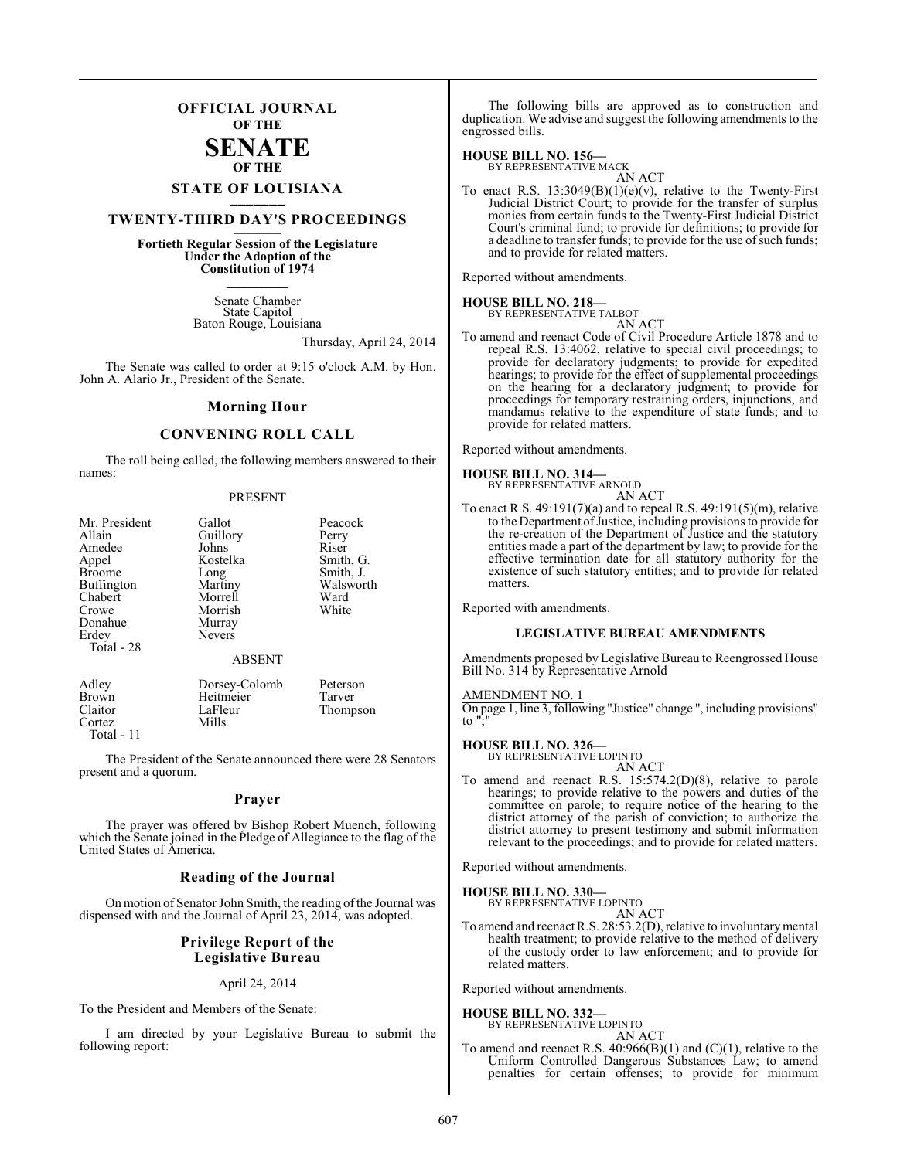## **OFFICIAL JOURNAL OF THE**

## **SENATE OF THE**

# **STATE OF LOUISIANA \_\_\_\_\_\_\_**

## **TWENTY-THIRD DAY'S PROCEEDINGS \_\_\_\_\_\_\_**

**Fortieth Regular Session of the Legislature Under the Adoption of the Constitution of 1974 \_\_\_\_\_\_\_**

> Senate Chamber State Capitol Baton Rouge, Louisiana

> > Thursday, April 24, 2014

The Senate was called to order at 9:15 o'clock A.M. by Hon. John A. Alario Jr., President of the Senate.

#### **Morning Hour**

#### **CONVENING ROLL CALL**

The roll being called, the following members answered to their names:

#### PRESENT

| Mr. President | Gallot        | Peacock   |
|---------------|---------------|-----------|
| Allain        | Guillory      | Perry     |
| Amedee        | Johns         | Riser     |
| Appel         | Kostelka      | Smith, G. |
| <b>Broome</b> | Long          | Smith, J. |
| Buffington    | Martiny       | Walsworth |
| Chabert       | Morrell       | Ward      |
| Crowe         | Morrish       | White     |
| Donahue       | Murray        |           |
| Erdey         | <b>Nevers</b> |           |
| Total - 28    |               |           |
|               | <b>ABSENT</b> |           |
| Adley         | Dorsey-Colomb | Peterson  |
| Brown         | Heitmeier     | Tarver    |
| Claitor       | LaFleur       | Thompson  |
| Cortez        | Mills         |           |

Total - 11

The President of the Senate announced there were 28 Senators present and a quorum.

#### **Prayer**

The prayer was offered by Bishop Robert Muench, following which the Senate joined in the Pledge of Allegiance to the flag of the United States of America.

#### **Reading of the Journal**

On motion of Senator John Smith, the reading of the Journal was dispensed with and the Journal of April 23, 2014, was adopted.

#### **Privilege Report of the Legislative Bureau**

#### April 24, 2014

To the President and Members of the Senate:

I am directed by your Legislative Bureau to submit the following report:

The following bills are approved as to construction and duplication. We advise and suggest the following amendments to the engrossed bills.

#### **HOUSE BILL NO. 156—**

BY REPRESENTATIVE MACK AN ACT

To enact R.S.  $13:3049(B)(1)(e)(v)$ , relative to the Twenty-First Judicial District Court; to provide for the transfer of surplus monies from certain funds to the Twenty-First Judicial District Court's criminal fund; to provide for definitions; to provide for a deadline to transfer funds; to provide for the use of such funds; and to provide for related matters.

Reported without amendments.

## **HOUSE BILL NO. 218—** BY REPRESENTATIVE TALBOT

AN ACT To amend and reenact Code of Civil Procedure Article 1878 and to repeal R.S. 13:4062, relative to special civil proceedings; to provide for declaratory judgments; to provide for expedited hearings; to provide for the effect of supplemental proceedings on the hearing for a declaratory judgment; to provide for proceedings for temporary restraining orders, injunctions, and mandamus relative to the expenditure of state funds; and to provide for related matters.

Reported without amendments.

#### **HOUSE BILL NO. 314—**

| BY REPRESENTATIVE ARNOLD |        |
|--------------------------|--------|
|                          | AN ACT |

To enact R.S. 49:191(7)(a) and to repeal R.S. 49:191(5)(m), relative to the Department of Justice, including provisions to provide for the re-creation of the Department of Justice and the statutory entities made a part of the department by law; to provide for the effective termination date for all statutory authority for the existence of such statutory entities; and to provide for related matters.

Reported with amendments.

#### **LEGISLATIVE BUREAU AMENDMENTS**

Amendments proposed by Legislative Bureau to Reengrossed House Bill No. 314 by Representative Arnold

#### AMENDMENT NO. 1

On page 1, line 3, following "Justice" change ", including provisions"  $\mathsf{to}$ 

#### **HOUSE BILL NO. 326—**

BY REPRESENTATIVE LOPINTO AN ACT

To amend and reenact R.S. 15:574.2(D)(8), relative to parole hearings; to provide relative to the powers and duties of the committee on parole; to require notice of the hearing to the district attorney of the parish of conviction; to authorize the district attorney to present testimony and submit information relevant to the proceedings; and to provide for related matters.

Reported without amendments.

**HOUSE BILL NO. 330—**

BY REPRESENTATIVE LOPINTO AN ACT

To amend and reenact R.S. 28:53.2(D), relative to involuntary mental health treatment; to provide relative to the method of delivery of the custody order to law enforcement; and to provide for related matters.

Reported without amendments.

**HOUSE BILL NO. 332—** BY REPRESENTATIVE LOPINTO

AN ACT

To amend and reenact R.S. 40:966(B)(1) and (C)(1), relative to the Uniform Controlled Dangerous Substances Law; to amend penalties for certain offenses; to provide for minimum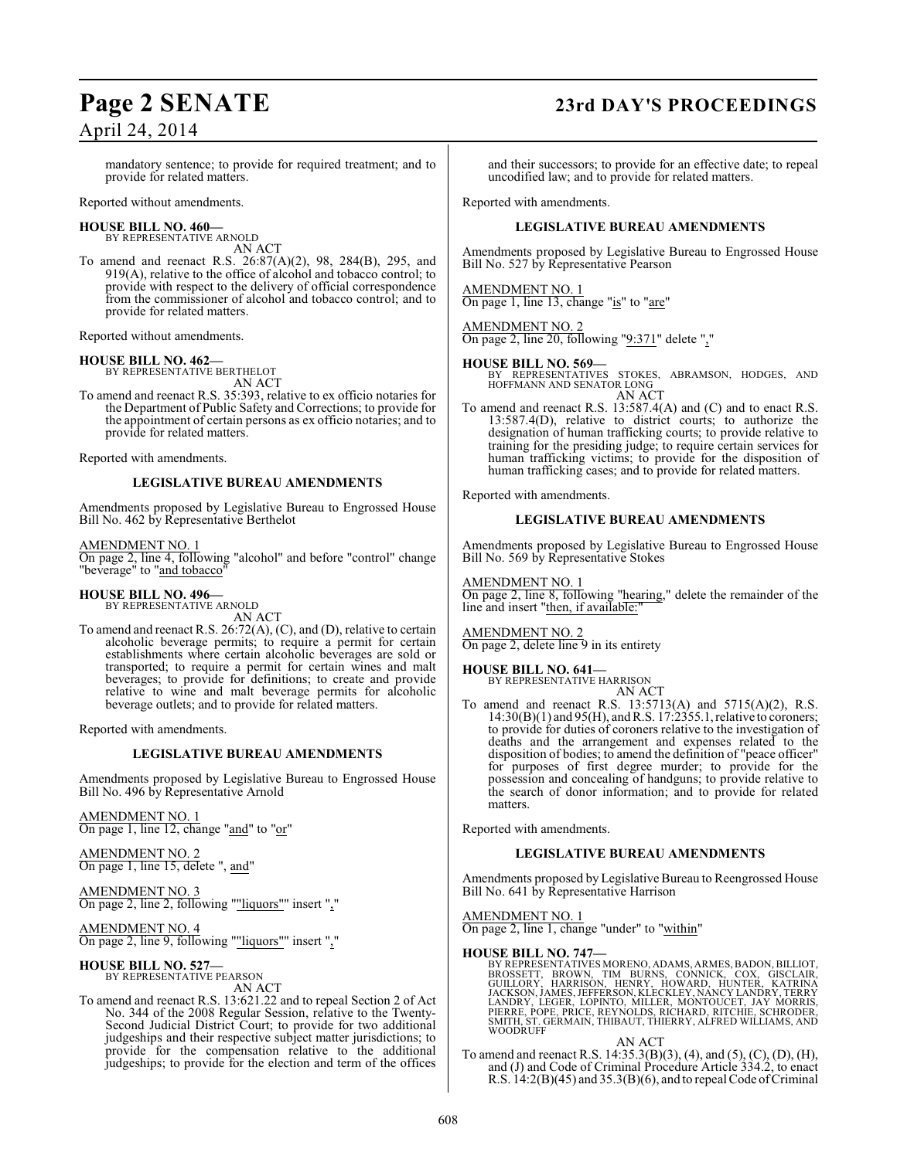## **Page 2 SENATE 23rd DAY'S PROCEEDINGS**

mandatory sentence; to provide for required treatment; and to provide for related matters.

Reported without amendments.

#### **HOUSE BILL NO. 460—**

BY REPRESENTATIVE ARNOLD AN ACT

To amend and reenact R.S. 26:87(A)(2), 98, 284(B), 295, and 919(A), relative to the office of alcohol and tobacco control; to provide with respect to the delivery of official correspondence from the commissioner of alcohol and tobacco control; and to provide for related matters.

Reported without amendments.

**HOUSE BILL NO. 462—** BY REPRESENTATIVE BERTHELOT AN ACT

To amend and reenact R.S. 35:393, relative to ex officio notaries for the Department of Public Safety and Corrections; to provide for the appointment of certain persons as ex officio notaries; and to provide for related matters.

Reported with amendments.

#### **LEGISLATIVE BUREAU AMENDMENTS**

Amendments proposed by Legislative Bureau to Engrossed House Bill No. 462 by Representative Berthelot

AMENDMENT NO. 1

On page 2, line 4, following "alcohol" and before "control" change "beverage" to "and tobacco"

#### **HOUSE BILL NO. 496—**

BY REPRESENTATIVE ARNOLD AN ACT

To amend and reenact R.S. 26:72(A), (C), and (D), relative to certain alcoholic beverage permits; to require a permit for certain establishments where certain alcoholic beverages are sold or transported; to require a permit for certain wines and malt beverages; to provide for definitions; to create and provide relative to wine and malt beverage permits for alcoholic beverage outlets; and to provide for related matters.

Reported with amendments.

#### **LEGISLATIVE BUREAU AMENDMENTS**

Amendments proposed by Legislative Bureau to Engrossed House Bill No. 496 by Representative Arnold

AMENDMENT NO. 1 On page 1, line 12, change "and" to "or"

AMENDMENT NO. 2 On page 1, line 15, delete ", and"

AMENDMENT NO. 3 On page 2, line 2, following ""liquors"" insert ","

AMENDMENT NO. 4 On page 2, line 9, following ""liquors"" insert ","

**HOUSE BILL NO. 527—** BY REPRESENTATIVE PEARSON AN ACT

To amend and reenact R.S. 13:621.22 and to repeal Section 2 of Act No. 344 of the 2008 Regular Session, relative to the Twenty-Second Judicial District Court; to provide for two additional judgeships and their respective subject matter jurisdictions; to provide for the compensation relative to the additional judgeships; to provide for the election and term of the offices

and their successors; to provide for an effective date; to repeal uncodified law; and to provide for related matters.

Reported with amendments.

#### **LEGISLATIVE BUREAU AMENDMENTS**

Amendments proposed by Legislative Bureau to Engrossed House Bill No. 527 by Representative Pearson

AMENDMENT NO. 1 On page 1, line 13, change "is" to "are"

### AMENDMENT NO. 2

On page 2, line 20, following "9:371" delete ","

**HOUSE BILL NO. 569—** BY REPRESENTATIVES STOKES, ABRAMSON, HODGES, AND HOFFMANN AND SENATOR LONG AN ACT

To amend and reenact R.S. 13:587.4(A) and (C) and to enact R.S. 13:587.4(D), relative to district courts; to authorize the designation of human trafficking courts; to provide relative to training for the presiding judge; to require certain services for human trafficking victims; to provide for the disposition of human trafficking cases; and to provide for related matters.

Reported with amendments.

#### **LEGISLATIVE BUREAU AMENDMENTS**

Amendments proposed by Legislative Bureau to Engrossed House Bill No. 569 by Representative Stokes

AMENDMENT NO. 1

On page 2, line 8, following "hearing," delete the remainder of the line and insert "then, if available:"

#### AMENDMENT NO. 2

On page 2, delete line 9 in its entirety

## **HOUSE BILL NO. 641—** BY REPRESENTATIVE HARRISON

AN ACT

To amend and reenact R.S. 13:5713(A) and 5715(A)(2), R.S. 14:30(B)(1) and 95(H), and R.S. 17:2355.1, relative to coroners; to provide for duties of coroners relative to the investigation of deaths and the arrangement and expenses related to the disposition of bodies; to amend the definition of "peace officer" for purposes of first degree murder; to provide for the possession and concealing of handguns; to provide relative to the search of donor information; and to provide for related matters.

Reported with amendments.

### **LEGISLATIVE BUREAU AMENDMENTS**

Amendments proposed by Legislative Bureau to Reengrossed House Bill No. 641 by Representative Harrison

#### AMENDMENT NO. 1

On page 2, line 1, change "under" to "within"

#### **HOUSE BILL NO. 747—**

BY REPRESENTATIVES MORENO, ADAMS, ARMES, BADON, BILLIOT, BROUSSETT, BROWN, TIM BURNS, CONNICK, COX, GISCLAIR,<br>GUILLORY, HARRISÒN, HENRY, HOWARD, HUNTER, KATRINA<br>JACKSON, JAMES, JEFFERSON, KLECKLEY, NANCY LANDRY, TERRY<br>LAND

#### AN ACT

To amend and reenact R.S. 14:35.3(B)(3), (4), and (5), (C), (D), (H), and (J) and Code of Criminal Procedure Article 334.2, to enact R.S. 14:2(B)(45) and 35.3(B)(6), and to repeal Code of Criminal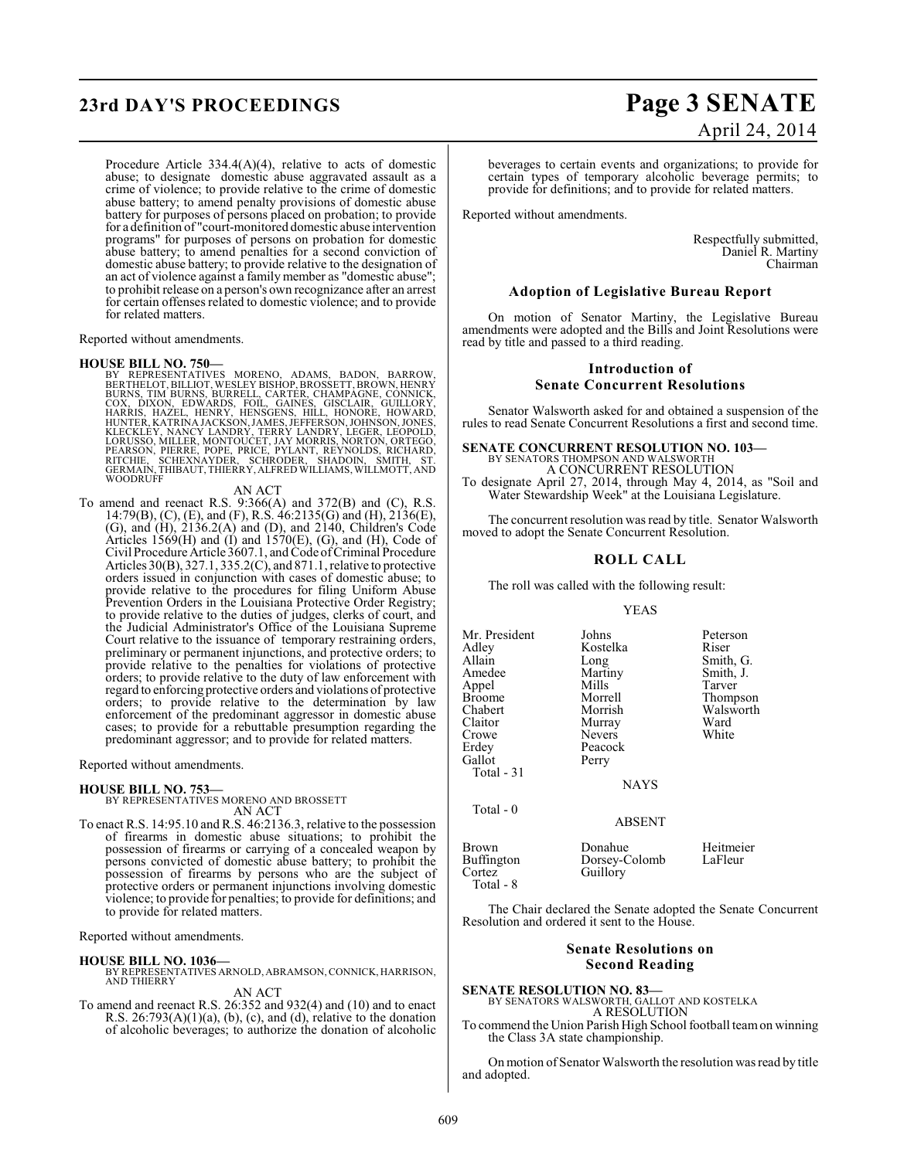## **23rd DAY'S PROCEEDINGS Page 3 SENATE**

Procedure Article 334.4(A)(4), relative to acts of domestic abuse; to designate domestic abuse aggravated assault as a crime of violence; to provide relative to the crime of domestic abuse battery; to amend penalty provisions of domestic abuse battery for purposes of persons placed on probation; to provide for a definition of "court-monitored domestic abuse intervention programs" for purposes of persons on probation for domestic abuse battery; to amend penalties for a second conviction of domestic abuse battery; to provide relative to the designation of an act of violence against a family member as "domestic abuse"; to prohibit release on a person's own recognizance after an arrest for certain offenses related to domestic violence; and to provide for related matters.

Reported without amendments.

HOUSE BILL NO. 750—<br>BY REPRESENTATIVES MORENO, ADAMS, BADON, BARROW, BERTHELOT, BILLIOT, WESLEY BISHOP, BROSSETT, BROWN, HENRY<br>BURNS, TIM BURNS, BURRELL, CARTÉR, CHAMPAGNE, CÓNNICK,<br>COX, DIXON, EDWARDS, FOIL, GAINES, GISCL

#### AN ACT

To amend and reenact R.S. 9:366(A) and 372(B) and (C), R.S. 14:79(B), (C), (E), and (F), R.S. 46:2135(G) and (H), 2136(E), (G), and (H), 2136.2(A) and (D), and 2140, Children's Code Articles 1569 $(H)$  and  $(I)$  and 1570 $(E)$ ,  $(G)$ , and  $(H)$ , Code of Civil Procedure Article 3607.1, and Code of Criminal Procedure Articles 30(B), 327.1, 335.2(C), and 871.1, relative to protective orders issued in conjunction with cases of domestic abuse; to provide relative to the procedures for filing Uniform Abuse Prevention Orders in the Louisiana Protective Order Registry; to provide relative to the duties of judges, clerks of court, and the Judicial Administrator's Office of the Louisiana Supreme Court relative to the issuance of temporary restraining orders, preliminary or permanent injunctions, and protective orders; to provide relative to the penalties for violations of protective orders; to provide relative to the duty of law enforcement with regard to enforcing protective orders and violations of protective orders; to provide relative to the determination by law enforcement of the predominant aggressor in domestic abuse cases; to provide for a rebuttable presumption regarding the predominant aggressor; and to provide for related matters.

Reported without amendments.

#### **HOUSE BILL NO. 753—**

BY REPRESENTATIVES MORENO AND BROSSETT AN ACT

To enact R.S. 14:95.10 and R.S. 46:2136.3, relative to the possession of firearms in domestic abuse situations; to prohibit the possession of firearms or carrying of a concealed weapon by persons convicted of domestic abuse battery; to prohibit the possession of firearms by persons who are the subject of protective orders or permanent injunctions involving domestic violence; to provide for penalties; to provide for definitions; and to provide for related matters.

Reported without amendments.

#### **HOUSE BILL NO. 1036—**

BY REPRESENTATIVES ARNOLD, ABRAMSON, CONNICK, HARRISON, AND THIERRY

AN ACT

To amend and reenact R.S. 26:352 and 932(4) and (10) and to enact R.S.  $26:793(A)(1)(a)$ , (b), (c), and (d), relative to the donation of alcoholic beverages; to authorize the donation of alcoholic

# April 24, 2014

beverages to certain events and organizations; to provide for certain types of temporary alcoholic beverage permits; to provide for definitions; and to provide for related matters.

Reported without amendments.

Respectfully submitted, Daniel R. Martiny Chairman

#### **Adoption of Legislative Bureau Report**

On motion of Senator Martiny, the Legislative Bureau amendments were adopted and the Bills and Joint Resolutions were read by title and passed to a third reading.

#### **Introduction of Senate Concurrent Resolutions**

Senator Walsworth asked for and obtained a suspension of the rules to read Senate Concurrent Resolutions a first and second time.

#### **SENATE CONCURRENT RESOLUTION NO. 103—**

BY SENATORS THOMPSON AND WALSWORTH A CONCURRENT RESOLUTION

To designate April 27, 2014, through May 4, 2014, as "Soil and Water Stewardship Week" at the Louisiana Legislature.

The concurrent resolution was read by title. Senator Walsworth moved to adopt the Senate Concurrent Resolution.

#### **ROLL CALL**

The roll was called with the following result:

#### YEAS

Mr. President Johns Peterson<br>Adley Kostelka Riser Adley Kostelka<br>Allain Long Allain Long Smith, G.<br>Amedee Martiny Smith, J. Appel Mills<br>Broome Morrell Broome Morrell Thompson<br>
Chabert Morrish Walsworth Chabert Morrish Walsworth<br>Claitor Murray Ward Claitor Murray Ward<br>Crowe Nevers White Crowe Nevers<br>Erdey Peacoc Gallot Total - 31 Total - 0

Martiny Smith,<br>Mills Tarver

**NAYS** 

Peacock<br>Perry

Guillory

ABSENT

Brown Donahue Heitmeier<br>Buffington Dorsey-Colomb LaFleur Buffington Dorsey-Colomb<br>Cortez Guillory Total - 8

The Chair declared the Senate adopted the Senate Concurrent Resolution and ordered it sent to the House.

#### **Senate Resolutions on Second Reading**

# **SENATE RESOLUTION NO. 83—**

BY SENATORS WALSWORTH, GALLOT AND KOSTELKA A RESOLUTION

To commend the Union Parish High School football team on winning the Class 3A state championship.

On motion of Senator Walsworth the resolution was read by title and adopted.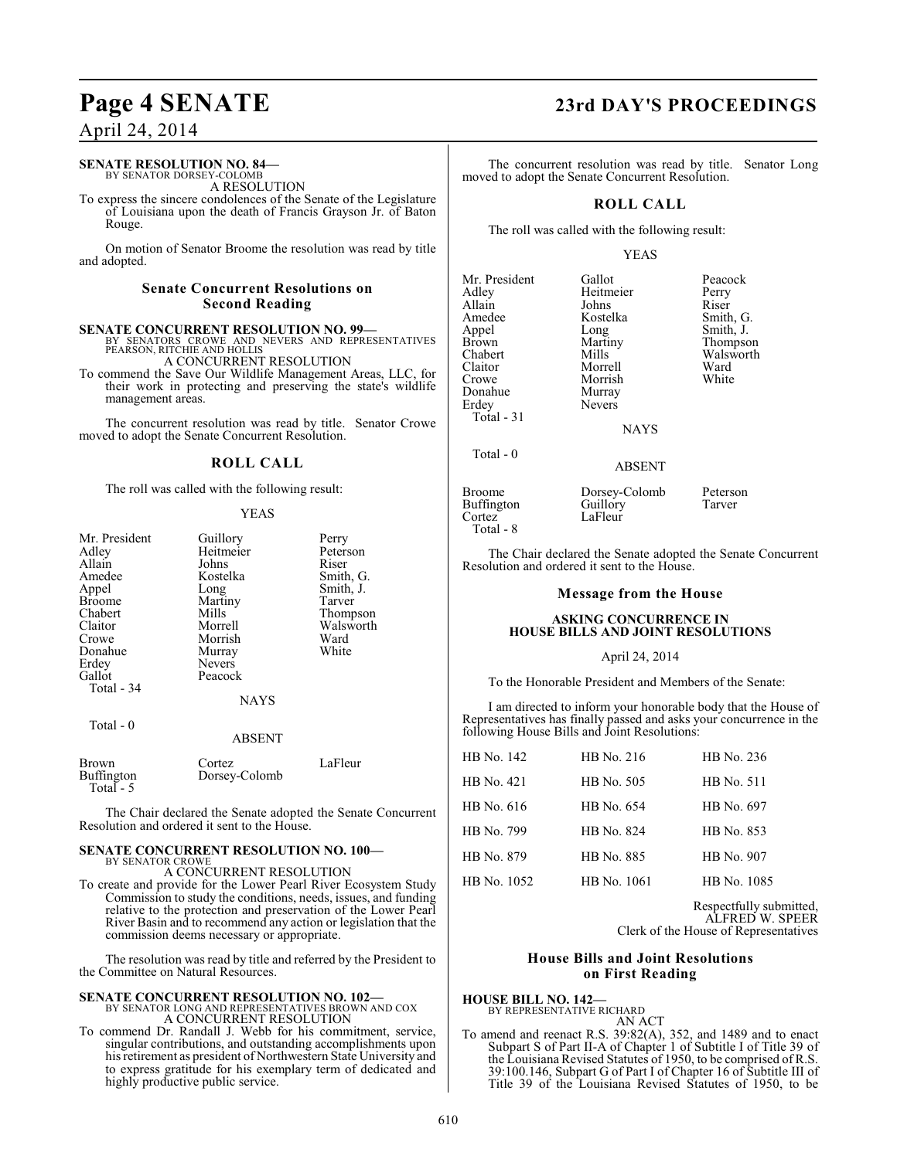#### **SENATE RESOLUTION NO. 84—** BY SENATOR DORSEY-COLOMB

A RESOLUTION

To express the sincere condolences of the Senate of the Legislature of Louisiana upon the death of Francis Grayson Jr. of Baton Rouge.

On motion of Senator Broome the resolution was read by title and adopted.

#### **Senate Concurrent Resolutions on Second Reading**

**SENATE CONCURRENT RESOLUTION NO. 99—** BY SENATORS CROWE AND NEVERS AND REPRESENTATIVES PEARSON, RITCHIE AND HOLLIS

A CONCURRENT RESOLUTION

To commend the Save Our Wildlife Management Areas, LLC, for their work in protecting and preserving the state's wildlife management areas.

The concurrent resolution was read by title. Senator Crowe moved to adopt the Senate Concurrent Resolution.

### **ROLL CALL**

The roll was called with the following result:

#### YEAS

| Mr. President<br>Adley<br>Allain<br>Amedee<br>Appel<br><b>Broome</b><br>Chabert<br>Claitor<br>Crowe<br>Donahue<br>Erdey<br>Gallot<br>Total - 34 | Guillory<br>Heitmeier<br>Johns<br>Kostelka<br>Long<br>Martiny<br>Mills<br>Morrell<br>Morrish<br>Murray<br><b>Nevers</b><br>Peacock<br><b>NAYS</b> | Perry<br>Peterson<br>Riser<br>Smith, G.<br>Smith, J.<br>Tarver<br>Thompson<br>Walsworth<br>Ward<br>White |
|-------------------------------------------------------------------------------------------------------------------------------------------------|---------------------------------------------------------------------------------------------------------------------------------------------------|----------------------------------------------------------------------------------------------------------|
| Total - 0                                                                                                                                       | A DCENT                                                                                                                                           |                                                                                                          |

|                                         | ADJEIN I                |         |  |
|-----------------------------------------|-------------------------|---------|--|
| <b>Brown</b><br>Buffington<br>Total - 5 | Cortez<br>Dorsey-Colomb | LaFleur |  |

The Chair declared the Senate adopted the Senate Concurrent Resolution and ordered it sent to the House.

#### **SENATE CONCURRENT RESOLUTION NO. 100—** BY SENATOR CROWE A CONCURRENT RESOLUTION

To create and provide for the Lower Pearl River Ecosystem Study Commission to study the conditions, needs, issues, and funding relative to the protection and preservation of the Lower Pearl River Basin and to recommend any action or legislation that the commission deems necessary or appropriate.

The resolution was read by title and referred by the President to the Committee on Natural Resources.

#### **SENATE CONCURRENT RESOLUTION NO. 102—** BY SENATOR LONG AND REPRESENTATIVES BROWN AND COX A CONCURRENT RESOLUTION

To commend Dr. Randall J. Webb for his commitment, service, singular contributions, and outstanding accomplishments upon his retirement as president of Northwestern State University and to express gratitude for his exemplary term of dedicated and highly productive public service.

## **Page 4 SENATE 23rd DAY'S PROCEEDINGS**

The concurrent resolution was read by title. Senator Long moved to adopt the Senate Concurrent Resolution.

#### **ROLL CALL**

The roll was called with the following result:

#### YEAS

| Mr. President | Gallot        | Peacock   |
|---------------|---------------|-----------|
| Adley         | Heitmeier     | Perry     |
| Allain        | Johns         | Riser     |
| Amedee        | Kostelka      | Smith, G. |
| Appel         | Long          | Smith, J. |
| <b>Brown</b>  | Martiny       | Thompson  |
| Chabert       | Mills         | Walsworth |
| Claitor       | Morrell       | Ward      |
| Crowe         | Morrish       | White     |
| Donahue       | Murray        |           |
| Erdey         | <b>Nevers</b> |           |
| Total $-31$   |               |           |
|               | NAVC          |           |

Total - 0

NAYS

#### ABSENT

| <b>Broome</b>     | Dorsey-Colomb | Peterson |
|-------------------|---------------|----------|
| <b>Buffington</b> | Guillory      | Tarver   |
| Cortez            | LaFleur       |          |
| Total - 8         |               |          |

The Chair declared the Senate adopted the Senate Concurrent Resolution and ordered it sent to the House.

#### **Message from the House**

#### **ASKING CONCURRENCE IN HOUSE BILLS AND JOINT RESOLUTIONS**

#### April 24, 2014

To the Honorable President and Members of the Senate:

I am directed to inform your honorable body that the House of Representatives has finally passed and asks your concurrence in the following House Bills and Joint Resolutions:

| HB No. 142  | HB No. 216  | HB No. 236  |
|-------------|-------------|-------------|
| HB No. 421  | HB No. 505  | HB No. 511  |
| HB No. 616  | HB No. 654  | HB No. 697  |
| HB No. 799  | HB No. 824  | HB No. 853  |
| HB No. 879  | HB No. 885  | HB No. 907  |
| HB No. 1052 | HB No. 1061 | HB No. 1085 |

Respectfully submitted, ALFRED W. SPEER Clerk of the House of Representatives

### **House Bills and Joint Resolutions on First Reading**

**HOUSE BILL NO. 142—** BY REPRESENTATIVE RICHARD

AN ACT

To amend and reenact R.S. 39:82(A), 352, and 1489 and to enact Subpart S of Part II-A of Chapter 1 of Subtitle I of Title 39 of the Louisiana Revised Statutes of 1950, to be comprised of R.S. 39:100.146, Subpart G of Part I of Chapter 16 of Subtitle III of Title 39 of the Louisiana Revised Statutes of 1950, to be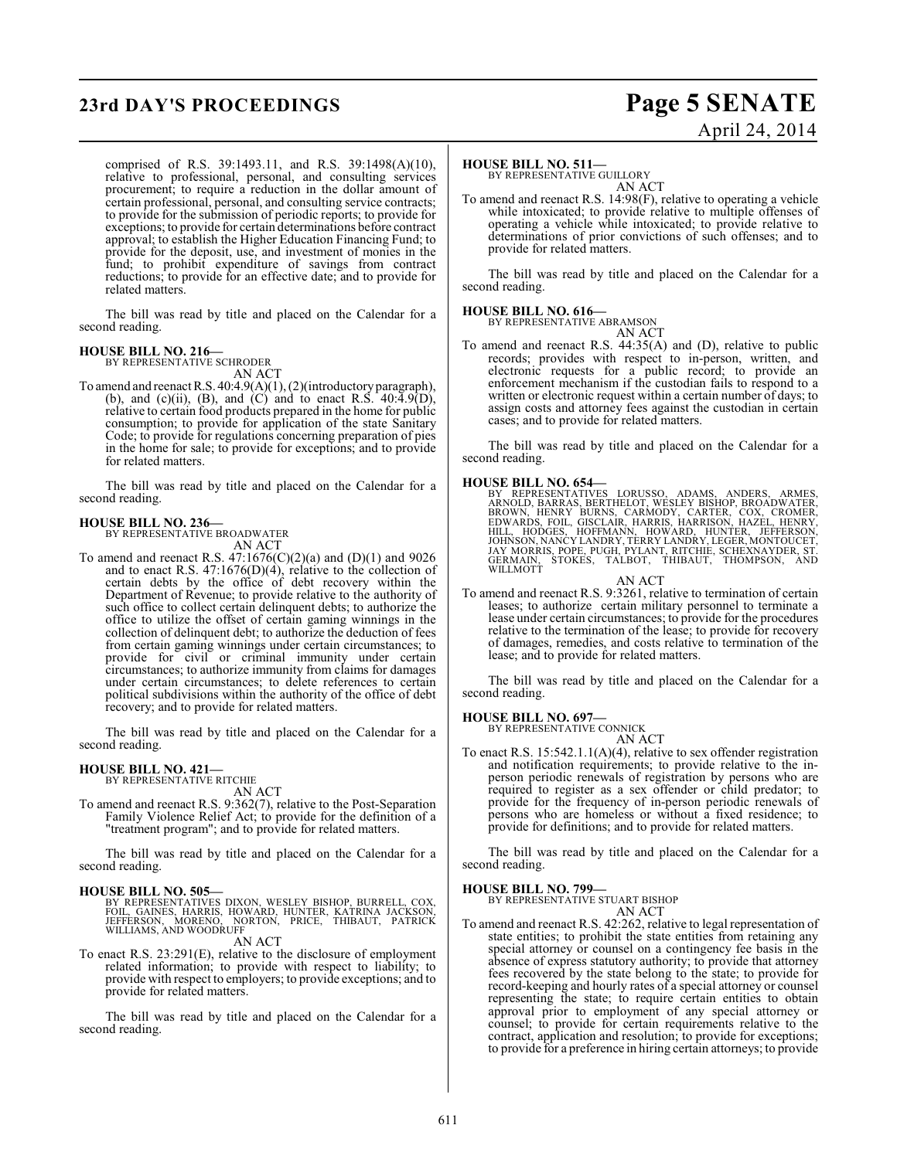## **23rd DAY'S PROCEEDINGS Page 5 SENATE**

# April 24, 2014

comprised of R.S. 39:1493.11, and R.S. 39:1498(A)(10), relative to professional, personal, and consulting services procurement; to require a reduction in the dollar amount of certain professional, personal, and consulting service contracts; to provide for the submission of periodic reports; to provide for exceptions; to provide for certain determinations before contract approval; to establish the Higher Education Financing Fund; to provide for the deposit, use, and investment of monies in the fund; to prohibit expenditure of savings from contract reductions; to provide for an effective date; and to provide for related matters.

The bill was read by title and placed on the Calendar for a second reading.

#### **HOUSE BILL NO. 216—** BY REPRESENTATIVE SCHRODER

AN ACT

To amend and reenact R.S. 40:4.9(A)(1), (2)(introductory paragraph), (b), and (c)(ii), (B), and (C) and to enact R.S.  $40:\overline{4}.\overline{9(}D),$ relative to certain food products prepared in the home for public consumption; to provide for application of the state Sanitary Code; to provide for regulations concerning preparation of pies in the home for sale; to provide for exceptions; and to provide for related matters.

The bill was read by title and placed on the Calendar for a second reading.

## **HOUSE BILL NO. 236—** BY REPRESENTATIVE BROADWATER

AN ACT

To amend and reenact R.S. 47:1676(C)(2)(a) and (D)(1) and 9026 and to enact R.S.  $47:1676(D)(4)$ , relative to the collection of certain debts by the office of debt recovery within the Department of Revenue; to provide relative to the authority of such office to collect certain delinquent debts; to authorize the office to utilize the offset of certain gaming winnings in the collection of delinquent debt; to authorize the deduction of fees from certain gaming winnings under certain circumstances; to provide for civil or criminal immunity under certain circumstances; to authorize immunity from claims for damages under certain circumstances; to delete references to certain political subdivisions within the authority of the office of debt recovery; and to provide for related matters.

The bill was read by title and placed on the Calendar for a second reading.

#### **HOUSE BILL NO. 421—** BY REPRESENTATIVE RITCHIE

AN ACT

To amend and reenact R.S. 9:362(7), relative to the Post-Separation Family Violence Relief Act; to provide for the definition of a "treatment program"; and to provide for related matters.

The bill was read by title and placed on the Calendar for a second reading.

#### **HOUSE BILL NO. 505—**

BY REPRESENTATIVES DIXON, WESLEY BISHOP, BURRELL, COX,<br>FOIL, GAINES, HARRIS, HOWARD, HUNTER, KATRINA JACKSON,<br>JEFFERSON, MORENO, NORTON, PRICE, THIBAUT, PATRICK<br>WILLIAMS, AND WOODRUFF

AN ACT

To enact R.S. 23:291(E), relative to the disclosure of employment related information; to provide with respect to liability; to provide with respect to employers; to provide exceptions; and to provide for related matters.

The bill was read by title and placed on the Calendar for a second reading.

#### **HOUSE BILL NO. 511—**

BY REPRESENTATIVE GUILLORY AN ACT

To amend and reenact R.S. 14:98(F), relative to operating a vehicle while intoxicated; to provide relative to multiple offenses of operating a vehicle while intoxicated; to provide relative to determinations of prior convictions of such offenses; and to provide for related matters.

The bill was read by title and placed on the Calendar for a second reading.

#### **HOUSE BILL NO. 616—**

BY REPRESENTATIVE ABRAMSON AN ACT

To amend and reenact R.S. 44:35(A) and (D), relative to public records; provides with respect to in-person, written, and electronic requests for a public record; to provide an enforcement mechanism if the custodian fails to respond to a written or electronic request within a certain number of days; to assign costs and attorney fees against the custodian in certain cases; and to provide for related matters.

The bill was read by title and placed on the Calendar for a second reading.

#### **HOUSE BILL NO. 654—**

BY REPRESENTATIVES LORUSSO, ADAMS, ANDERS, ARMES, ARNOLD, BARRAS, BERTHELOT, WĖSLEY BISHOP, BROADWATER, BROAD, BROADWATER, EDWARDS, FORDAD, HENRY, BURNS, FORDAD, HAZEL, HENRY, JOHNARDS, FOIL, GISCLAIR, HARRIS, HARRISON, HA

AN ACT To amend and reenact R.S. 9:3261, relative to termination of certain leases; to authorize certain military personnel to terminate a lease under certain circumstances; to provide for the procedures relative to the termination of the lease; to provide for recovery of damages, remedies, and costs relative to termination of the lease; and to provide for related matters.

The bill was read by title and placed on the Calendar for a second reading.

#### **HOUSE BILL NO. 697—**

BY REPRESENTATIVE CONNICK AN ACT

To enact R.S. 15:542.1.1(A)(4), relative to sex offender registration and notification requirements; to provide relative to the inperson periodic renewals of registration by persons who are required to register as a sex offender or child predator; to provide for the frequency of in-person periodic renewals of persons who are homeless or without a fixed residence; to provide for definitions; and to provide for related matters.

The bill was read by title and placed on the Calendar for a second reading.

#### **HOUSE BILL NO. 799—**

BY REPRESENTATIVE STUART BISHOP AN ACT

To amend and reenact R.S. 42:262, relative to legal representation of state entities; to prohibit the state entities from retaining any special attorney or counsel on a contingency fee basis in the absence of express statutory authority; to provide that attorney fees recovered by the state belong to the state; to provide for record-keeping and hourly rates of a special attorney or counsel representing the state; to require certain entities to obtain approval prior to employment of any special attorney or counsel; to provide for certain requirements relative to the contract, application and resolution; to provide for exceptions; to provide for a preference in hiring certain attorneys; to provide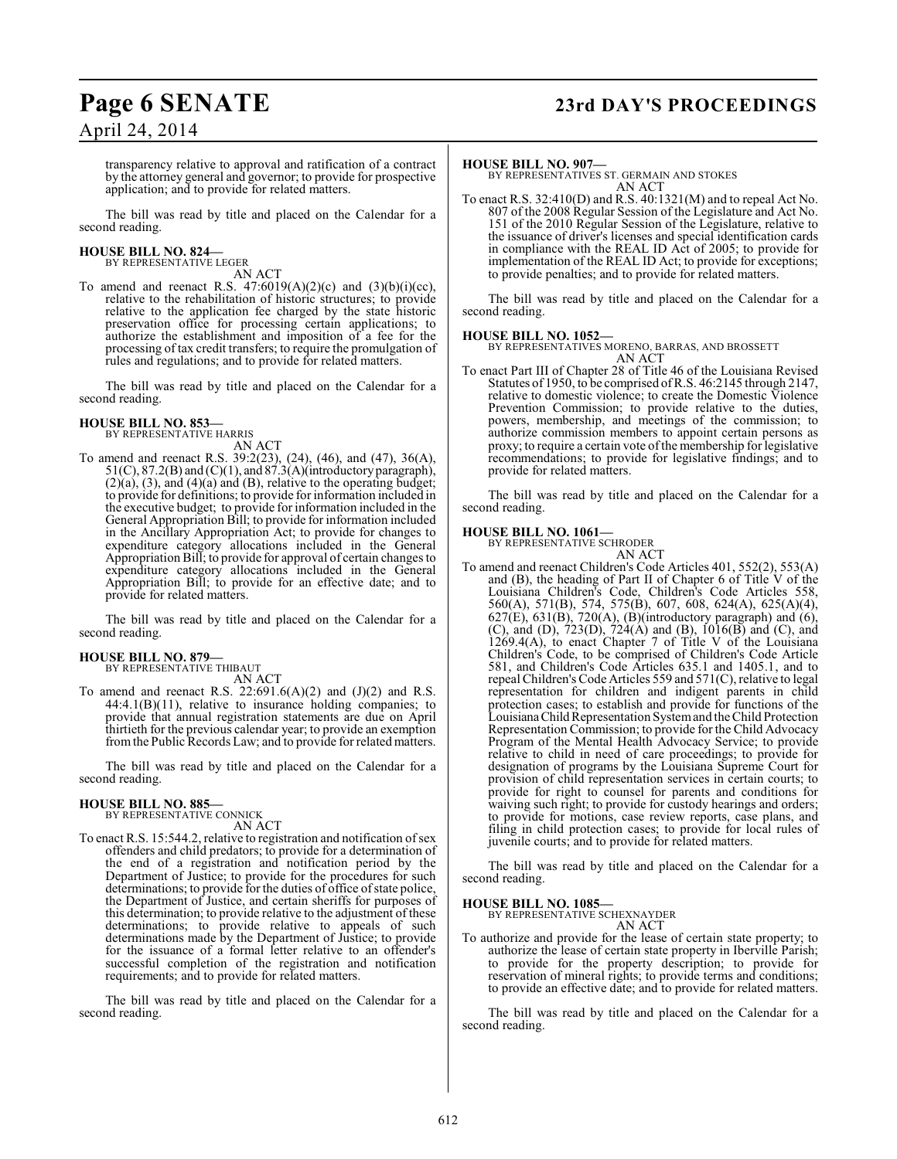## **Page 6 SENATE 23rd DAY'S PROCEEDINGS**

April 24, 2014

transparency relative to approval and ratification of a contract by the attorney general and governor; to provide for prospective application; and to provide for related matters.

The bill was read by title and placed on the Calendar for a second reading.

#### **HOUSE BILL NO. 824—** BY REPRESENTATIVE LEGER

AN ACT

To amend and reenact R.S.  $47:6019(A)(2)(c)$  and  $(3)(b)(i)(cc)$ , relative to the rehabilitation of historic structures; to provide relative to the application fee charged by the state historic preservation office for processing certain applications; to authorize the establishment and imposition of a fee for the processing of tax credit transfers; to require the promulgation of rules and regulations; and to provide for related matters.

The bill was read by title and placed on the Calendar for a second reading.

# **HOUSE BILL NO. 853—** BY REPRESENTATIVE HARRIS

AN ACT To amend and reenact R.S. 39:2(23), (24), (46), and (47), 36(A), 51(C), 87.2(B) and (C)(1), and 87.3(A)(introductory paragraph),  $(2)(a)$ ,  $(3)$ , and  $(4)(a)$  and  $(B)$ , relative to the operating budget; to provide for definitions; to provide for information included in the executive budget; to provide for information included in the General Appropriation Bill; to provide for information included in the Ancillary Appropriation Act; to provide for changes to expenditure category allocations included in the General Appropriation Bill; to provide for approval of certain changes to expenditure category allocations included in the General Appropriation Bill; to provide for an effective date; and to provide for related matters.

The bill was read by title and placed on the Calendar for a second reading.

#### **HOUSE BILL NO. 879—**

BY REPRESENTATIVE THIBAUT

- AN ACT
- To amend and reenact R.S.  $22:691.6(A)(2)$  and  $(J)(2)$  and R.S. 44:4.1(B)(11), relative to insurance holding companies; to provide that annual registration statements are due on April thirtieth for the previous calendar year; to provide an exemption from the Public Records Law; and to provide for related matters.

The bill was read by title and placed on the Calendar for a second reading.

#### **HOUSE BILL NO. 885—**

BY REPRESENTATIVE CONNICK

- AN ACT
- To enact R.S. 15:544.2, relative to registration and notification of sex offenders and child predators; to provide for a determination of the end of a registration and notification period by the Department of Justice; to provide for the procedures for such determinations; to provide for the duties of office of state police, the Department of Justice, and certain sheriffs for purposes of this determination; to provide relative to the adjustment of these determinations; to provide relative to appeals of such determinations made by the Department of Justice; to provide for the issuance of a formal letter relative to an offender's successful completion of the registration and notification requirements; and to provide for related matters.

The bill was read by title and placed on the Calendar for a second reading.

#### **HOUSE BILL NO. 907—**

BY REPRESENTATIVES ST. GERMAIN AND STOKES AN ACT

To enact R.S. 32:410(D) and R.S. 40:1321(M) and to repeal Act No. 807 of the 2008 Regular Session of the Legislature and Act No. 151 of the 2010 Regular Session of the Legislature, relative to the issuance of driver's licenses and special identification cards in compliance with the REAL ID Act of 2005; to provide for implementation of the REAL ID Act; to provide for exceptions; to provide penalties; and to provide for related matters.

The bill was read by title and placed on the Calendar for a second reading.

#### **HOUSE BILL NO. 1052—**

BY REPRESENTATIVES MORENO, BARRAS, AND BROSSETT AN ACT

To enact Part III of Chapter 28 of Title 46 of the Louisiana Revised Statutes of 1950, to be comprised of R.S. 46:2145 through 2147, relative to domestic violence; to create the Domestic Violence Prevention Commission; to provide relative to the duties, powers, membership, and meetings of the commission; to authorize commission members to appoint certain persons as proxy; to require a certain vote of the membership for legislative recommendations; to provide for legislative findings; and to provide for related matters.

The bill was read by title and placed on the Calendar for a second reading.

#### **HOUSE BILL NO. 1061—**

BY REPRESENTATIVE SCHRODER

AN ACT To amend and reenact Children's Code Articles 401, 552(2), 553(A) and (B), the heading of Part II of Chapter 6 of Title V of the Louisiana Children's Code, Children's Code Articles 558, 560(A), 571(B), 574, 575(B), 607, 608, 624(A), 625(A)(4),  $627(E)$ ,  $631(B)$ ,  $720(A)$ ,  $(B)$ (introductory paragraph) and  $(6)$ , (C), and (D), 723(D), 724(A) and (B), 1016(B) and (C), and 1269.4(A), to enact Chapter 7 of Title V of the Louisiana Children's Code, to be comprised of Children's Code Article 581, and Children's Code Articles 635.1 and 1405.1, and to repeal Children's Code Articles 559 and 571(C), relative to legal representation for children and indigent parents in child protection cases; to establish and provide for functions of the Louisiana Child Representation System and the Child Protection Representation Commission; to provide for the Child Advocacy Program of the Mental Health Advocacy Service; to provide relative to child in need of care proceedings; to provide for designation of programs by the Louisiana Supreme Court for provision of child representation services in certain courts; to provide for right to counsel for parents and conditions for waiving such right; to provide for custody hearings and orders; to provide for motions, case review reports, case plans, and filing in child protection cases; to provide for local rules of juvenile courts; and to provide for related matters.

The bill was read by title and placed on the Calendar for a second reading.

#### **HOUSE BILL NO. 1085—**

BY REPRESENTATIVE SCHEXNAYDER

#### AN ACT

To authorize and provide for the lease of certain state property; to authorize the lease of certain state property in Iberville Parish; to provide for the property description; to provide for reservation of mineral rights; to provide terms and conditions; to provide an effective date; and to provide for related matters.

The bill was read by title and placed on the Calendar for a second reading.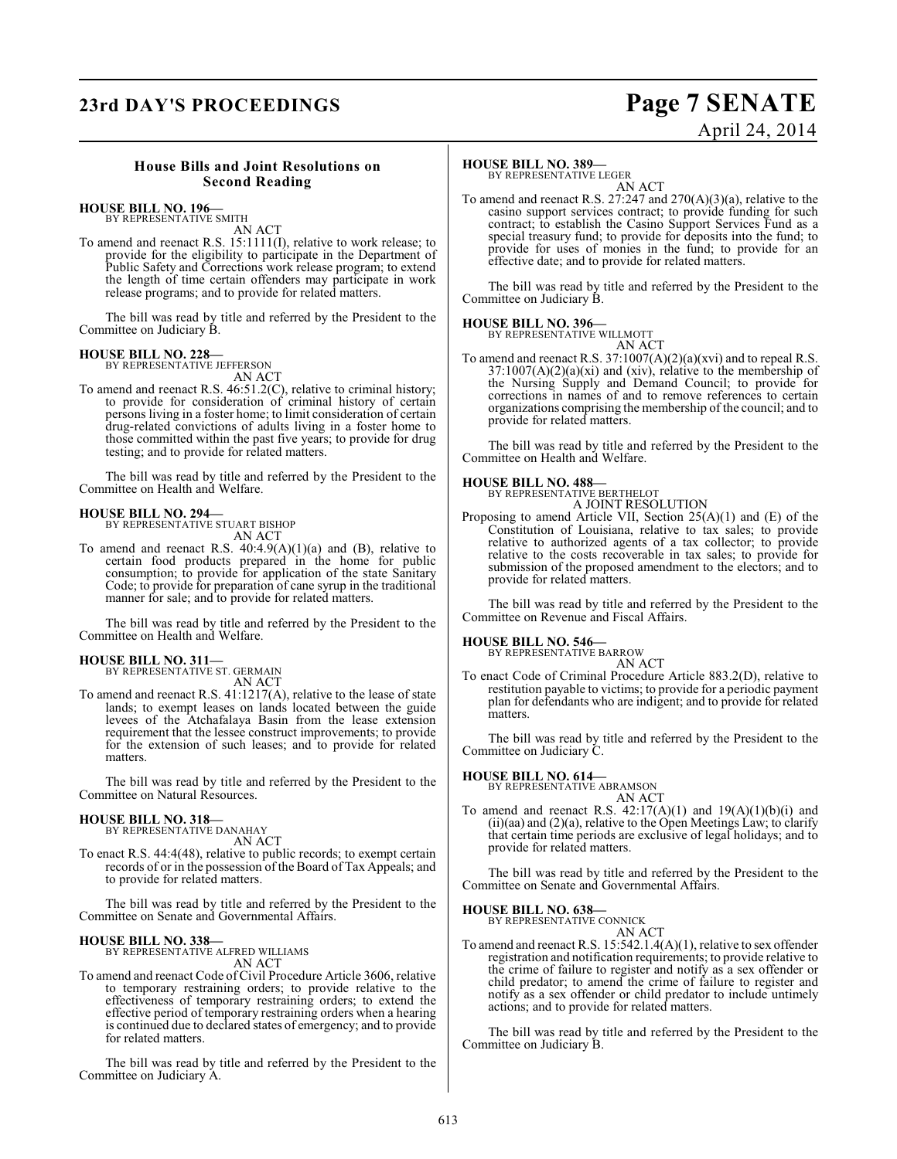# **23rd DAY'S PROCEEDINGS Page 7 SENATE**

# April 24, 2014

#### **House Bills and Joint Resolutions on Second Reading**

## **HOUSE BILL NO. 196—** BY REPRESENTATIVE SMITH

AN ACT

To amend and reenact R.S. 15:1111(I), relative to work release; to provide for the eligibility to participate in the Department of Public Safety and Corrections work release program; to extend the length of time certain offenders may participate in work release programs; and to provide for related matters.

The bill was read by title and referred by the President to the Committee on Judiciary B.

#### **HOUSE BILL NO. 228—** BY REPRESENTATIVE JEFFERSON

AN ACT

To amend and reenact R.S. 46:51.2(C), relative to criminal history; to provide for consideration of criminal history of certain persons living in a foster home; to limit consideration of certain drug-related convictions of adults living in a foster home to those committed within the past five years; to provide for drug testing; and to provide for related matters.

The bill was read by title and referred by the President to the Committee on Health and Welfare.

#### **HOUSE BILL NO. 294—**

BY REPRESENTATIVE STUART BISHOP AN ACT

To amend and reenact R.S.  $40:4.9(A)(1)(a)$  and (B), relative to certain food products prepared in the home for public consumption; to provide for application of the state Sanitary Code; to provide for preparation of cane syrup in the traditional manner for sale; and to provide for related matters.

The bill was read by title and referred by the President to the Committee on Health and Welfare.

#### **HOUSE BILL NO. 311—**

BY REPRESENTATIVE ST. GERMAIN AN ACT

To amend and reenact R.S. 41:1217(A), relative to the lease of state lands; to exempt leases on lands located between the guide levees of the Atchafalaya Basin from the lease extension requirement that the lessee construct improvements; to provide for the extension of such leases; and to provide for related matters.

The bill was read by title and referred by the President to the Committee on Natural Resources.

#### **HOUSE BILL NO. 318—** BY REPRESENTATIVE DANAHAY

AN ACT

To enact R.S. 44:4(48), relative to public records; to exempt certain records of or in the possession of the Board of Tax Appeals; and to provide for related matters.

The bill was read by title and referred by the President to the Committee on Senate and Governmental Affairs.

## **HOUSE BILL NO. 338—** BY REPRESENTATIVE ALFRED WILLIAMS

AN ACT

To amend and reenact Code of Civil Procedure Article 3606, relative to temporary restraining orders; to provide relative to the effectiveness of temporary restraining orders; to extend the effective period of temporary restraining orders when a hearing is continued due to declared states of emergency; and to provide for related matters.

The bill was read by title and referred by the President to the Committee on Judiciary A.

#### **HOUSE BILL NO. 389—**

BY REPRESENTATIVE LEGER

AN ACT To amend and reenact R.S. 27:247 and 270(A)(3)(a), relative to the casino support services contract; to provide funding for such contract; to establish the Casino Support Services Fund as a special treasury fund; to provide for deposits into the fund; to provide for uses of monies in the fund; to provide for an effective date; and to provide for related matters.

The bill was read by title and referred by the President to the Committee on Judiciary B.

#### **HOUSE BILL NO. 396—** BY REPRESENTATIVE WILLMOTT



To amend and reenact R.S. 37:1007(A)(2)(a)(xvi) and to repeal R.S.  $37:1007(A)(2)(a)(xi)$  and (xiv), relative to the membership of the Nursing Supply and Demand Council; to provide for corrections in names of and to remove references to certain organizations comprising the membership of the council; and to provide for related matters.

The bill was read by title and referred by the President to the Committee on Health and Welfare.

#### **HOUSE BILL NO. 488—**

BY REPRESENTATIVE BERTHELOT A JOINT RESOLUTION

Proposing to amend Article VII, Section 25(A)(1) and (E) of the Constitution of Louisiana, relative to tax sales; to provide relative to authorized agents of a tax collector; to provide relative to the costs recoverable in tax sales; to provide for submission of the proposed amendment to the electors; and to provide for related matters.

The bill was read by title and referred by the President to the Committee on Revenue and Fiscal Affairs.

## **HOUSE BILL NO. 546—** BY REPRESENTATIVE BARROW

AN ACT

To enact Code of Criminal Procedure Article 883.2(D), relative to restitution payable to victims; to provide for a periodic payment plan for defendants who are indigent; and to provide for related matters.

The bill was read by title and referred by the President to the Committee on Judiciary C.

#### **HOUSE BILL NO. 614—**

BY REPRESENTATIVE ABRAMSON

AN ACT To amend and reenact R.S.  $42:17(A)(1)$  and  $19(A)(1)(b)(i)$  and (ii)(aa) and (2)(a), relative to the Open Meetings Law; to clarify that certain time periods are exclusive of legal holidays; and to provide for related matters.

The bill was read by title and referred by the President to the Committee on Senate and Governmental Affairs.

#### **HOUSE BILL NO. 638—** BY REPRESENT/

AN ACT

To amend and reenact R.S. 15:542.1.4(A)(1), relative to sex offender registration and notification requirements; to provide relative to the crime of failure to register and notify as a sex offender or child predator; to amend the crime of failure to register and notify as a sex offender or child predator to include untimely actions; and to provide for related matters.

The bill was read by title and referred by the President to the Committee on Judiciary B.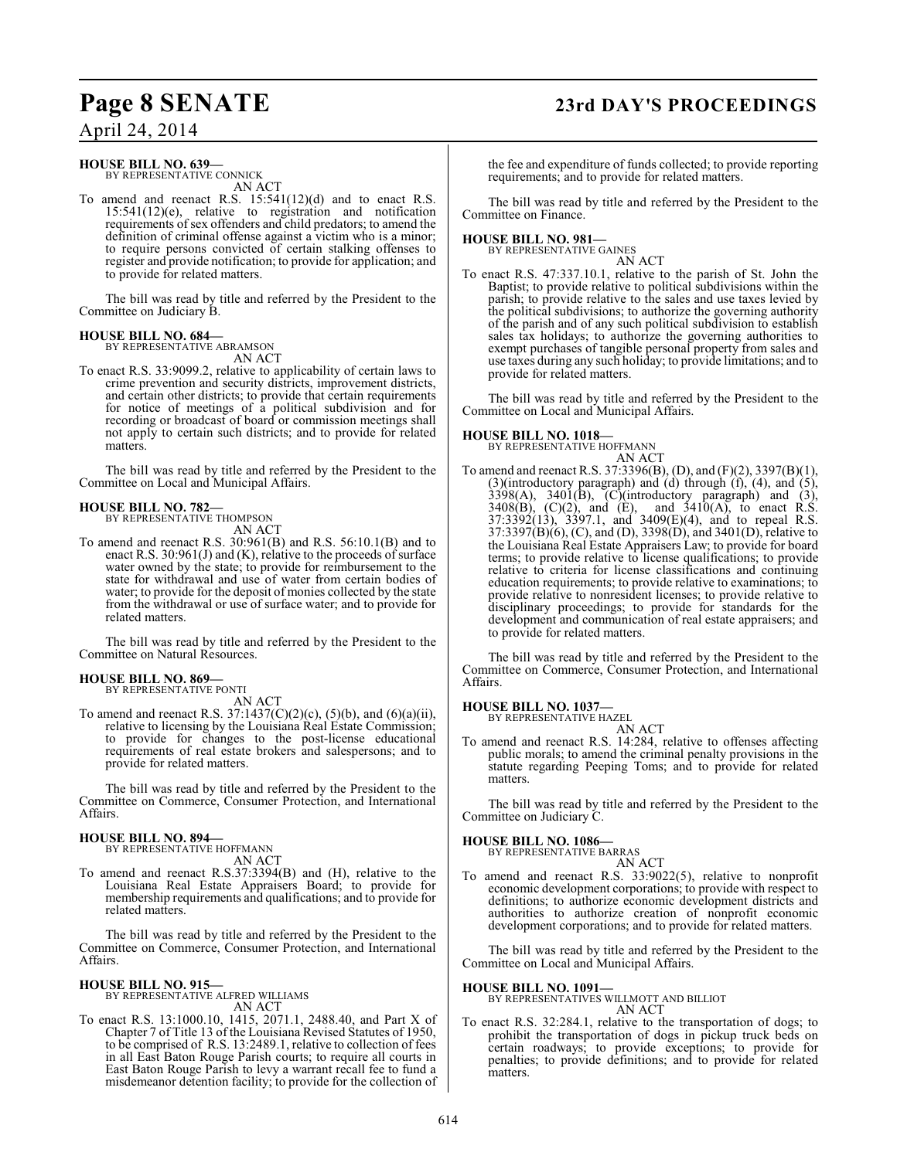# **Page 8 SENATE 23rd DAY'S PROCEEDINGS**

April 24, 2014

#### **HOUSE BILL NO. 639—** BY REPRESENTATIVE CONNICK

AN ACT

To amend and reenact R.S. 15:541(12)(d) and to enact R.S. 15:541(12)(e), relative to registration and notification requirements of sex offenders and child predators; to amend the definition of criminal offense against a victim who is a minor; to require persons convicted of certain stalking offenses to register and provide notification; to provide for application; and to provide for related matters.

The bill was read by title and referred by the President to the Committee on Judiciary B.

#### **HOUSE BILL NO. 684—** BY REPRESENTATIVE ABRAMSON

AN ACT

To enact R.S. 33:9099.2, relative to applicability of certain laws to crime prevention and security districts, improvement districts, and certain other districts; to provide that certain requirements for notice of meetings of a political subdivision and for recording or broadcast of board or commission meetings shall not apply to certain such districts; and to provide for related matters.

The bill was read by title and referred by the President to the Committee on Local and Municipal Affairs.

# **HOUSE BILL NO. 782—** BY REPRESENTATIVE THOMPSON

- AN ACT
- To amend and reenact R.S. 30:961(B) and R.S. 56:10.1(B) and to enact R.S. 30:961(J) and (K), relative to the proceeds of surface water owned by the state; to provide for reimbursement to the state for withdrawal and use of water from certain bodies of water; to provide for the deposit of monies collected by the state from the withdrawal or use of surface water; and to provide for related matters.

The bill was read by title and referred by the President to the Committee on Natural Resources.

#### **HOUSE BILL NO. 869—**

BY REPRESENTATIVE PONTI

AN ACT To amend and reenact R.S. 37:1437(C)(2)(c), (5)(b), and (6)(a)(ii), relative to licensing by the Louisiana Real Estate Commission; to provide for changes to the post-license educational requirements of real estate brokers and salespersons; and to provide for related matters.

The bill was read by title and referred by the President to the Committee on Commerce, Consumer Protection, and International Affairs.

### **HOUSE BILL NO. 894—**

BY REPRESENTATIVE HOFFMANN AN ACT

To amend and reenact R.S.37:3394(B) and (H), relative to the Louisiana Real Estate Appraisers Board; to provide for membership requirements and qualifications; and to provide for related matters.

The bill was read by title and referred by the President to the Committee on Commerce, Consumer Protection, and International Affairs.

#### **HOUSE BILL NO. 915—**

BY REPRESENTATIVE ALFRED WILLIAMS AN ACT

To enact R.S. 13:1000.10, 1415, 2071.1, 2488.40, and Part X of Chapter 7 of Title 13 of the Louisiana Revised Statutes of 1950, to be comprised of R.S. 13:2489.1, relative to collection of fees in all East Baton Rouge Parish courts; to require all courts in East Baton Rouge Parish to levy a warrant recall fee to fund a misdemeanor detention facility; to provide for the collection of the fee and expenditure of funds collected; to provide reporting requirements; and to provide for related matters.

The bill was read by title and referred by the President to the Committee on Finance.

# **HOUSE BILL NO. 981—** BY REPRESENTATIVE GAINES

AN ACT

To enact R.S. 47:337.10.1, relative to the parish of St. John the Baptist; to provide relative to political subdivisions within the parish; to provide relative to the sales and use taxes levied by the political subdivisions; to authorize the governing authority of the parish and of any such political subdivision to establish sales tax holidays; to authorize the governing authorities to exempt purchases of tangible personal property from sales and use taxes during any such holiday; to provide limitations; and to provide for related matters.

The bill was read by title and referred by the President to the Committee on Local and Municipal Affairs.

#### **HOUSE BILL NO. 1018—**

BY REPRESENTATIVE HOFFMANN

AN ACT To amend and reenact R.S. 37:3396(B), (D), and (F)(2), 3397(B)(1), (3)(introductory paragraph) and (d) through (f), (4), and (5),  $3398(A)$ ,  $3401(B)$ ,  $(C)(introducing) paragraph)$  and  $(3)$ ,  $3408(B)$ , (C)(2), and (E), and  $3410(A)$ , to enact R.S. 37:3392(13), 3397.1, and 3409(E)(4), and to repeal R.S.  $37:3397(B)(6)$ , (C), and (D),  $3398(D)$ , and  $3401(D)$ , relative to the Louisiana Real Estate Appraisers Law; to provide for board terms; to provide relative to license qualifications; to provide relative to criteria for license classifications and continuing education requirements; to provide relative to examinations; to provide relative to nonresident licenses; to provide relative to disciplinary proceedings; to provide for standards for the development and communication of real estate appraisers; and to provide for related matters.

The bill was read by title and referred by the President to the Committee on Commerce, Consumer Protection, and International Affairs.

#### **HOUSE BILL NO. 1037—**

BY REPRESENTATIVE HAZEL

AN ACT To amend and reenact R.S. 14:284, relative to offenses affecting public morals; to amend the criminal penalty provisions in the statute regarding Peeping Toms; and to provide for related matters.

The bill was read by title and referred by the President to the Committee on Judiciary C.

#### **HOUSE BILL NO. 1086—**

BY REPRESENTATIVE BARRAS

AN ACT To amend and reenact R.S. 33:9022(5), relative to nonprofit economic development corporations; to provide with respect to definitions; to authorize economic development districts and authorities to authorize creation of nonprofit economic development corporations; and to provide for related matters.

The bill was read by title and referred by the President to the Committee on Local and Municipal Affairs.

### **HOUSE BILL NO. 1091—**

#### BY REPRESENTATIVES WILLMOTT AND BILLIOT AN ACT

To enact R.S. 32:284.1, relative to the transportation of dogs; to prohibit the transportation of dogs in pickup truck beds on certain roadways; to provide exceptions; to provide for penalties; to provide definitions; and to provide for related matters.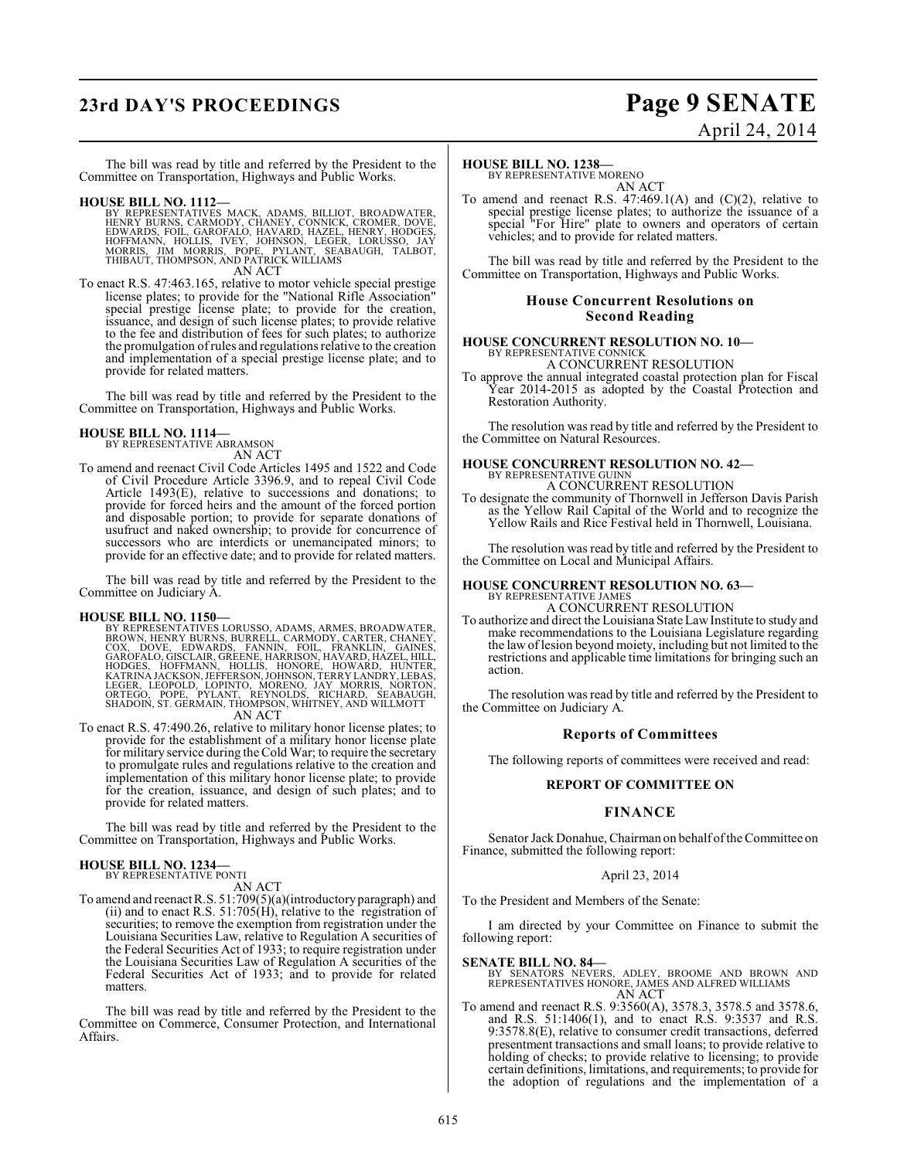# **23rd DAY'S PROCEEDINGS Page 9 SENATE**

# April 24, 2014

The bill was read by title and referred by the President to the Committee on Transportation, Highways and Public Works.

- **HOUSE BILL NO. 1112—** BY REPRESENTATIVES MACK, ADAMS, BILLIOT, BROADWATER, HENRY BURNS, CARMODY, CHANEY, CONNICK, CROMER, DOVE,<br>EDWARDS, FOIL, GAROFALO, HAVARD, HAZEL, HENRY, HODGES,<br>HOFMANN, HOLLIS, IVEY, JOHNSON, LEGER, LORUSSO, JAY<br>MORRIS, JIM MORRIS, POPE, PYLANT, SEABAUGH, TALBOT,<br>THIBAUT, T AN ACT
- To enact R.S. 47:463.165, relative to motor vehicle special prestige license plates; to provide for the "National Rifle Association" special prestige license plate; to provide for the creation, issuance, and design of such license plates; to provide relative to the fee and distribution of fees for such plates; to authorize the promulgation of rules and regulations relative to the creation and implementation of a special prestige license plate; and to provide for related matters.

The bill was read by title and referred by the President to the Committee on Transportation, Highways and Public Works.

### **HOUSE BILL NO. 1114—**

BY REPRESENTATIVE ABRAMSON AN ACT

To amend and reenact Civil Code Articles 1495 and 1522 and Code of Civil Procedure Article 3396.9, and to repeal Civil Code Article 1493(E), relative to successions and donations; to provide for forced heirs and the amount of the forced portion and disposable portion; to provide for separate donations of usufruct and naked ownership; to provide for concurrence of successors who are interdicts or unemancipated minors; to provide for an effective date; and to provide for related matters.

The bill was read by title and referred by the President to the Committee on Judiciary A.

#### **HOUSE BILL NO. 1150—**

BY REPRESENTATIVES LORUSSO, ADAMS, ARMES, BROADWATER, CORNN, HENROWN, HENROWN, EUROS, CORNODY, CARTER, CHANEY, COX, DOVE, EDWARDS, FANNIN, FOIL, FRANKLIN, GAINES, GAROFALO, GISCLAIR, GREENE, HARRISON, HAVARD, HAZEL, HILL,

To enact R.S. 47:490.26, relative to military honor license plates; to provide for the establishment of a military honor license plate for military service during the Cold War; to require the secretary to promulgate rules and regulations relative to the creation and implementation of this military honor license plate; to provide for the creation, issuance, and design of such plates; and to provide for related matters.

The bill was read by title and referred by the President to the Committee on Transportation, Highways and Public Works.

#### **HOUSE BILL NO. 1234—** BY REPRESENTATIVE PONTI

AN ACT

To amend and reenactR.S. 51:709(5)(a)(introductoryparagraph) and (ii) and to enact R.S.  $51:705(H)$ , relative to the registration of securities; to remove the exemption from registration under the Louisiana Securities Law, relative to Regulation A securities of the Federal Securities Act of 1933; to require registration under the Louisiana Securities Law of Regulation A securities of the Federal Securities Act of 1933; and to provide for related matters.

The bill was read by title and referred by the President to the Committee on Commerce, Consumer Protection, and International Affairs.

#### **HOUSE BILL NO. 1238—**

BY REPRESENTATIVE MORENO AN ACT

To amend and reenact R.S.  $47:469.1(A)$  and  $(C)(2)$ , relative to special prestige license plates; to authorize the issuance of a special "For Hire" plate to owners and operators of certain vehicles; and to provide for related matters.

The bill was read by title and referred by the President to the Committee on Transportation, Highways and Public Works.

#### **House Concurrent Resolutions on Second Reading**

## **HOUSE CONCURRENT RESOLUTION NO. 10—** BY REPRESENTATIVE CONNICK

A CONCURRENT RESOLUTION

To approve the annual integrated coastal protection plan for Fiscal Year 2014-2015 as adopted by the Coastal Protection and Restoration Authority.

The resolution was read by title and referred by the President to the Committee on Natural Resources.

#### **HOUSE CONCURRENT RESOLUTION NO. 42—** BY REPRESENTATIVE GUINN

#### A CONCURRENT RESOLUTION

To designate the community of Thornwell in Jefferson Davis Parish as the Yellow Rail Capital of the World and to recognize the Yellow Rails and Rice Festival held in Thornwell, Louisiana.

The resolution was read by title and referred by the President to the Committee on Local and Municipal Affairs.

## **HOUSE CONCURRENT RESOLUTION NO. 63—** BY REPRESENTATIVE JAMES A CONCURRENT RESOLUTION

To authorize and direct the Louisiana StateLawInstitute to study and make recommendations to the Louisiana Legislature regarding the law of lesion beyond moiety, including but not limited to the restrictions and applicable time limitations for bringing such an action.

The resolution was read by title and referred by the President to the Committee on Judiciary A.

#### **Reports of Committees**

The following reports of committees were received and read:

#### **REPORT OF COMMITTEE ON**

#### **FINANCE**

Senator Jack Donahue, Chairman on behalf of the Committee on Finance, submitted the following report:

#### April 23, 2014

To the President and Members of the Senate:

I am directed by your Committee on Finance to submit the following report:

- **SENATE BILL NO. 84—**<br>BY SENATORS NEVERS, ADLEY, BROOME AND BROWN AND<br>REPRESENTATIVES HONORE, JAMES AND ALFRED WILLIAMS<br>AN ACT
- To amend and reenact R.S. 9:3560(A), 3578.3, 3578.5 and 3578.6, and R.S. 51:1406(1), and to enact R.S. 9:3537 and R.S. 9:3578.8(E), relative to consumer credit transactions, deferred presentment transactions and small loans; to provide relative to holding of checks; to provide relative to licensing; to provide certain definitions, limitations, and requirements; to provide for the adoption of regulations and the implementation of a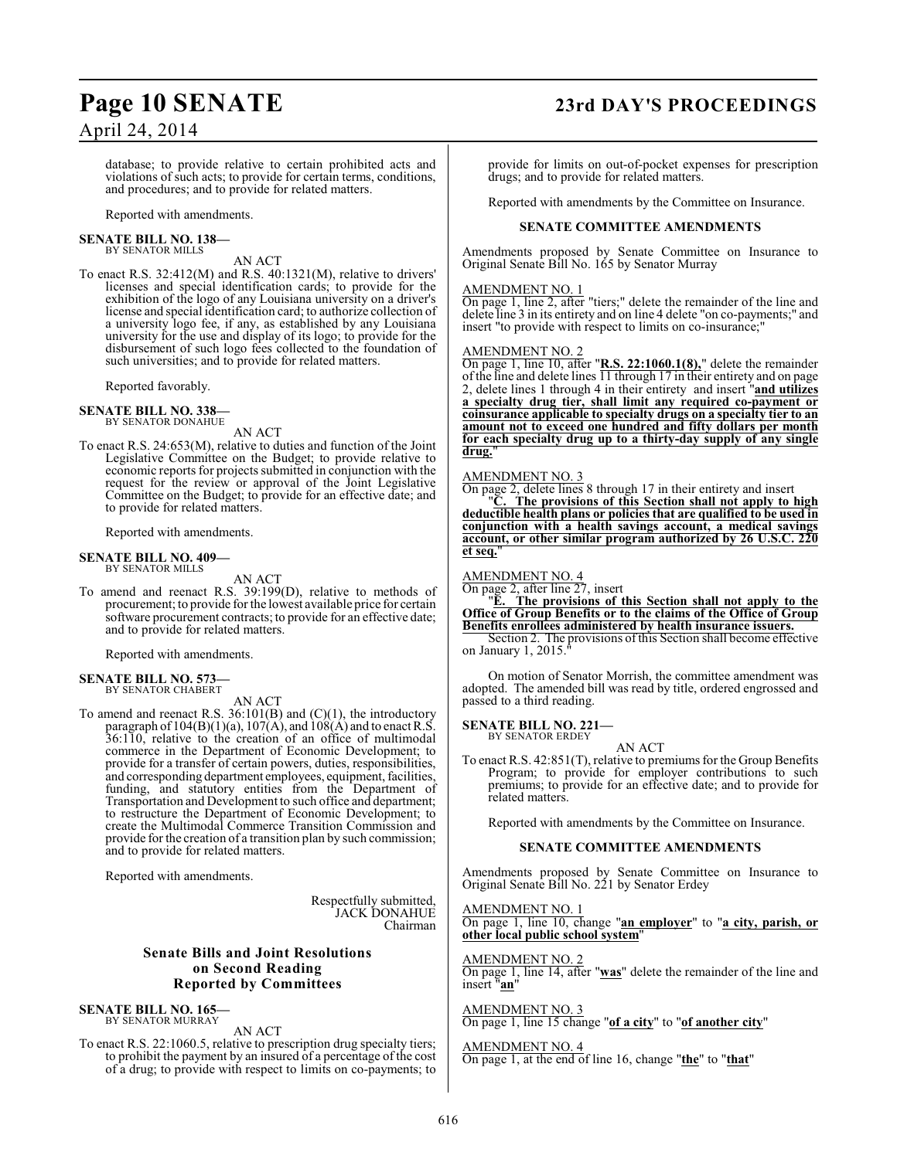## **Page 10 SENATE 23rd DAY'S PROCEEDINGS**

database; to provide relative to certain prohibited acts and violations of such acts; to provide for certain terms, conditions, and procedures; and to provide for related matters.

Reported with amendments.

#### **SENATE BILL NO. 138—** BY SENATOR MILLS

AN ACT

To enact R.S. 32:412(M) and R.S. 40:1321(M), relative to drivers' licenses and special identification cards; to provide for the exhibition of the logo of any Louisiana university on a driver's license and special identification card; to authorize collection of a university logo fee, if any, as established by any Louisiana university for the use and display of its logo; to provide for the disbursement of such logo fees collected to the foundation of such universities; and to provide for related matters.

Reported favorably.

**SENATE BILL NO. 338—** BY SENATOR DONAHUE

AN ACT

To enact R.S. 24:653(M), relative to duties and function of the Joint Legislative Committee on the Budget; to provide relative to economic reports for projects submitted in conjunction with the request for the review or approval of the Joint Legislative Committee on the Budget; to provide for an effective date; and to provide for related matters.

Reported with amendments.

# **SENATE BILL NO. 409—** BY SENATOR MILLS

#### AN ACT

To amend and reenact R.S. 39:199(D), relative to methods of procurement; to provide for the lowest available price for certain software procurement contracts; to provide for an effective date; and to provide for related matters.

Reported with amendments.

#### **SENATE BILL NO. 573** BY SENATOR CHABERT

AN ACT

To amend and reenact R.S. 36:101(B) and (C)(1), the introductory paragraph of  $104(B)(1)(a)$ ,  $107(A)$ , and  $108(A)$  and to enact R.S. 36:110, relative to the creation of an office of multimodal commerce in the Department of Economic Development; to provide for a transfer of certain powers, duties, responsibilities, and corresponding department employees, equipment, facilities, funding, and statutory entities from the Department of Transportation and Development to such office and department; to restructure the Department of Economic Development; to create the Multimodal Commerce Transition Commission and provide for the creation of a transition plan by such commission; and to provide for related matters.

Reported with amendments.

Respectfully submitted, JACK DONAHUE Chairman

### **Senate Bills and Joint Resolutions on Second Reading Reported by Committees**

#### **SENATE BILL NO. 165—** BY SENATOR MURRAY

AN ACT

To enact R.S. 22:1060.5, relative to prescription drug specialty tiers; to prohibit the payment by an insured of a percentage of the cost of a drug; to provide with respect to limits on co-payments; to

provide for limits on out-of-pocket expenses for prescription drugs; and to provide for related matters.

Reported with amendments by the Committee on Insurance.

#### **SENATE COMMITTEE AMENDMENTS**

Amendments proposed by Senate Committee on Insurance to Original Senate Bill No. 165 by Senator Murray

#### AMENDMENT NO. 1

On page 1, line 2, after "tiers;" delete the remainder of the line and delete line 3 in its entirety and on line 4 delete "on co-payments;" and insert "to provide with respect to limits on co-insurance;"

#### AMENDMENT NO. 2

On page 1, line 10, after "**R.S. 22:1060.1(8),**" delete the remainder of the line and delete lines  $\overline{11}$  through 17 in their entirety and on page 2, delete lines 1 through 4 in their entirety and insert "**and utilizes a specialty drug tier, shall limit any required co-payment or coinsurance applicable to specialty drugs on a specialty tier to an amount not to exceed one hundred and fifty dollars per month for each specialty drug up to a thirty-day supply of any single drug.**"

#### AMENDMENT NO. 3

On page 2, delete lines 8 through 17 in their entirety and insert "**C. The provisions of this Section shall not apply to high**

**deductible health plans or policies that are qualified to be used in conjunction with a health savings account, a medical savings account, or other similar program authorized by 26 U.S.C. 220 et seq.**"

#### AMENDMENT NO. 4

On page 2, after line 27, insert

"**E. The provisions of this Section shall not apply to the Office of Group Benefits or to the claims of the Office of Group Benefits enrollees administered by health insurance issuers.**

Section 2. The provisions of this Section shall become effective on January 1, 2015."

On motion of Senator Morrish, the committee amendment was adopted. The amended bill was read by title, ordered engrossed and passed to a third reading.

**SENATE BILL NO. 221—**

BY SENATOR ERDEY AN ACT

To enact R.S. 42:851(T), relative to premiums for the Group Benefits Program; to provide for employer contributions to such premiums; to provide for an effective date; and to provide for related matters.

Reported with amendments by the Committee on Insurance.

#### **SENATE COMMITTEE AMENDMENTS**

Amendments proposed by Senate Committee on Insurance to Original Senate Bill No. 221 by Senator Erdey

#### AMENDMENT NO. 1

On page 1, line 10, change "**an employer**" to "**a city, parish, or other local public school system**"

AMENDMENT NO. 2

On page 1, line 14, after "**was**" delete the remainder of the line and insert "**an**"

AMENDMENT NO. 3 On page 1, line 15 change "**of a city**" to "**of another city**"

## AMENDMENT NO. 4

On page 1, at the end of line 16, change "**the**" to "**that**"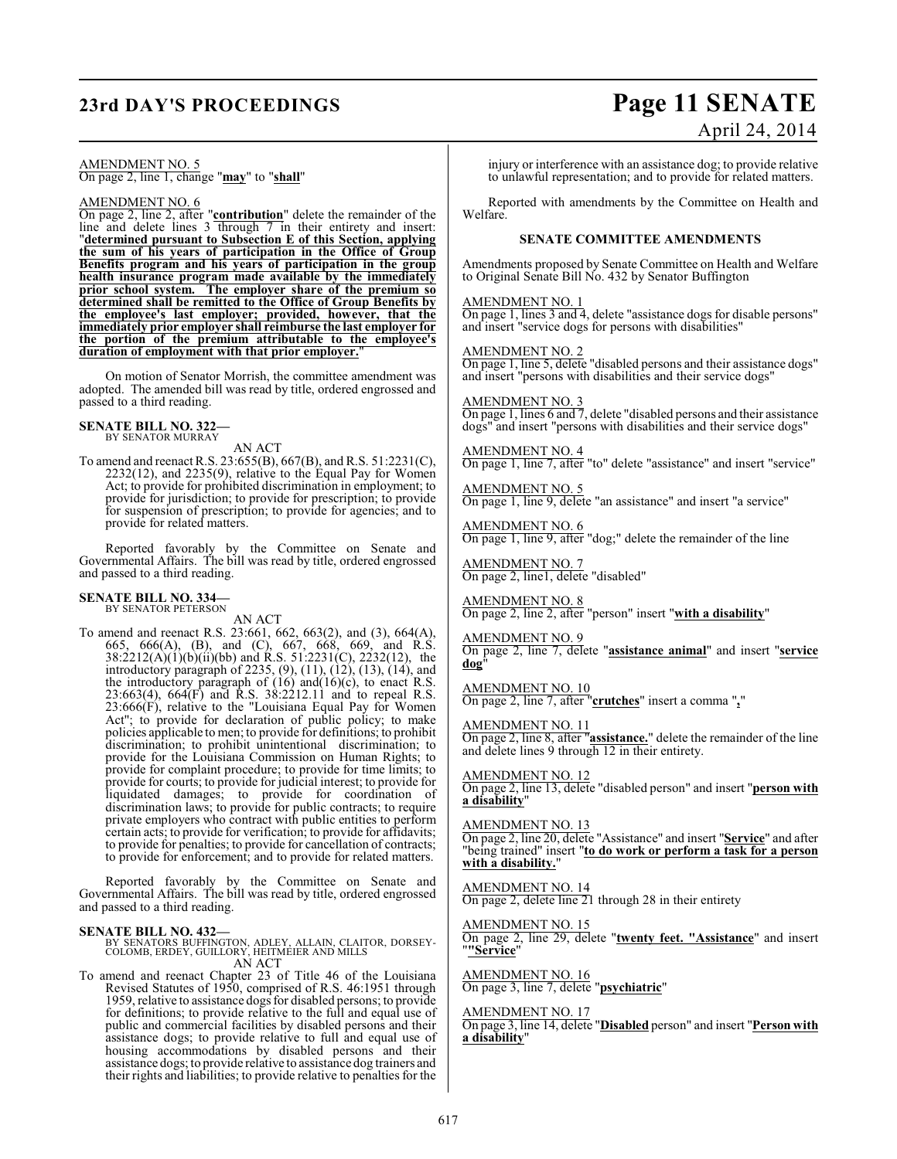## **23rd DAY'S PROCEEDINGS Page 11 SENATE**

# April 24, 2014

AMENDMENT NO. 5 On page 2, line 1, change "**may**" to "**shall**"

#### AMENDMENT NO. 6

On page 2, line 2, after "**contribution**" delete the remainder of the line and delete lines 3 through 7 in their entirety and insert: "**determined pursuant to Subsection E of this Section, applying the sum of his years of participation in the Office of Group Benefits program and his years of participation in the group health insurance program made available by the immediately prior school system. The employer share of the premium so determined shall be remitted to the Office of Group Benefits by the employee's last employer; provided, however, that the immediately prior employer shall reimburse the last employer for the portion of the premium attributable to the employee's duration of employment with that prior employer.**"

On motion of Senator Morrish, the committee amendment was adopted. The amended bill was read by title, ordered engrossed and passed to a third reading.

#### **SENATE BILL NO. 322—**

BY SENATOR MURRAY

AN ACT To amend and reenactR.S. 23:655(B), 667(B), and R.S. 51:2231(C), 2232(12), and 2235(9), relative to the Equal Pay for Women Act; to provide for prohibited discrimination in employment; to provide for jurisdiction; to provide for prescription; to provide for suspension of prescription; to provide for agencies; and to provide for related matters.

Reported favorably by the Committee on Senate and Governmental Affairs. The bill was read by title, ordered engrossed and passed to a third reading.

#### **SENATE BILL NO. 334—** BY SENATOR PETERSON

AN ACT

To amend and reenact R.S. 23:661, 662, 663(2), and (3), 664(A), 665, 666(A), (B), and (C), 667, 668, 669, and R.S. 38:2212(A)(1)(b)(ii)(bb) and R.S. 51:2231(C), 2232(12), the introductory paragraph of 2235, (9), (11), (12), (13), (14), and the introductory paragraph of  $(16)$  and $(16)(c)$ , to enact R.S. 23:663(4), 664(F) and R.S. 38:2212.11 and to repeal R.S. 23:666(F), relative to the "Louisiana Equal Pay for Women Act"; to provide for declaration of public policy; to make policies applicable to men; to provide for definitions; to prohibit discrimination; to prohibit unintentional discrimination; to provide for the Louisiana Commission on Human Rights; to provide for complaint procedure; to provide for time limits; to provide for courts; to provide for judicial interest; to provide for liquidated damages; to provide for coordination of discrimination laws; to provide for public contracts; to require private employers who contract with public entities to perform certain acts; to provide for verification; to provide for affidavits; to provide for penalties; to provide for cancellation of contracts; to provide for enforcement; and to provide for related matters.

Reported favorably by the Committee on Senate and Governmental Affairs. The bill was read by title, ordered engrossed and passed to a third reading.

**SENATE BILL NO. 432—**<br>BY SENATORS BUFFINGTON, ADLEY, ALLAIN, CLAITOR, DORSEY-<br>COLOMB, ERDEY, GUILLORY, HEITMEIER AND MILLS<br>AN ACT

To amend and reenact Chapter 23 of Title 46 of the Louisiana Revised Statutes of 1950, comprised of R.S. 46:1951 through 1959, relative to assistance dogs for disabled persons; to provide for definitions; to provide relative to the full and equal use of public and commercial facilities by disabled persons and their assistance dogs; to provide relative to full and equal use of housing accommodations by disabled persons and their assistance dogs; to provide relative to assistance dog trainers and their rights and liabilities; to provide relative to penalties for the injury or interference with an assistance dog; to provide relative to unlawful representation; and to provide for related matters.

Reported with amendments by the Committee on Health and Welfare.

#### **SENATE COMMITTEE AMENDMENTS**

Amendments proposed by Senate Committee on Health and Welfare to Original Senate Bill No. 432 by Senator Buffington

#### AMENDMENT NO. 1

On page 1, lines 3 and 4, delete "assistance dogs for disable persons" and insert "service dogs for persons with disabilities"

AMENDMENT NO. 2

On page 1, line 5, delete "disabled persons and their assistance dogs" and insert "persons with disabilities and their service dogs"

AMENDMENT NO. 3 On page 1, lines 6 and 7, delete "disabled persons and their assistance dogs" and insert "persons with disabilities and their service dogs"

AMENDMENT NO. 4 On page 1, line 7, after "to" delete "assistance" and insert "service"

AMENDMENT NO. 5 On page 1, line 9, delete "an assistance" and insert "a service"

AMENDMENT NO. 6 On page 1, line 9, after "dog;" delete the remainder of the line

AMENDMENT NO. 7 On page 2, line1, delete "disabled"

AMENDMENT NO. 8 On page 2, line 2, after "person" insert "**with a disability**"

#### AMENDMENT NO. 9

On page 2, line 7, delete "**assistance animal**" and insert "**service dog**"

### AMENDMENT NO. 10

On page 2, line 7, after "**crutches**" insert a comma "**,**"

#### AMENDMENT NO. 11

On page 2, line 8, after "**assistance.**" delete the remainder of the line and delete lines 9 through 12 in their entirety.

#### AMENDMENT NO. 12

On page 2, line 13, delete "disabled person" and insert "**person with a disability**"

#### AMENDMENT NO. 13

On page 2, line 20, delete "Assistance" and insert "**Service**" and after "being trained" insert "**to do work or perform a task for a person with a disability.**"

## AMENDMENT NO. 14

On page 2, delete line 21 through 28 in their entirety

#### AMENDMENT NO. 15 On page 2, line 29, delete "**twenty feet. "Assistance**" and insert "**"Service**"

AMENDMENT NO. 16 On page 3, line 7, delete "**psychiatric**"

#### AMENDMENT NO. 17

On page 3, line 14, delete "**Disabled** person" and insert "**Person with a disability**"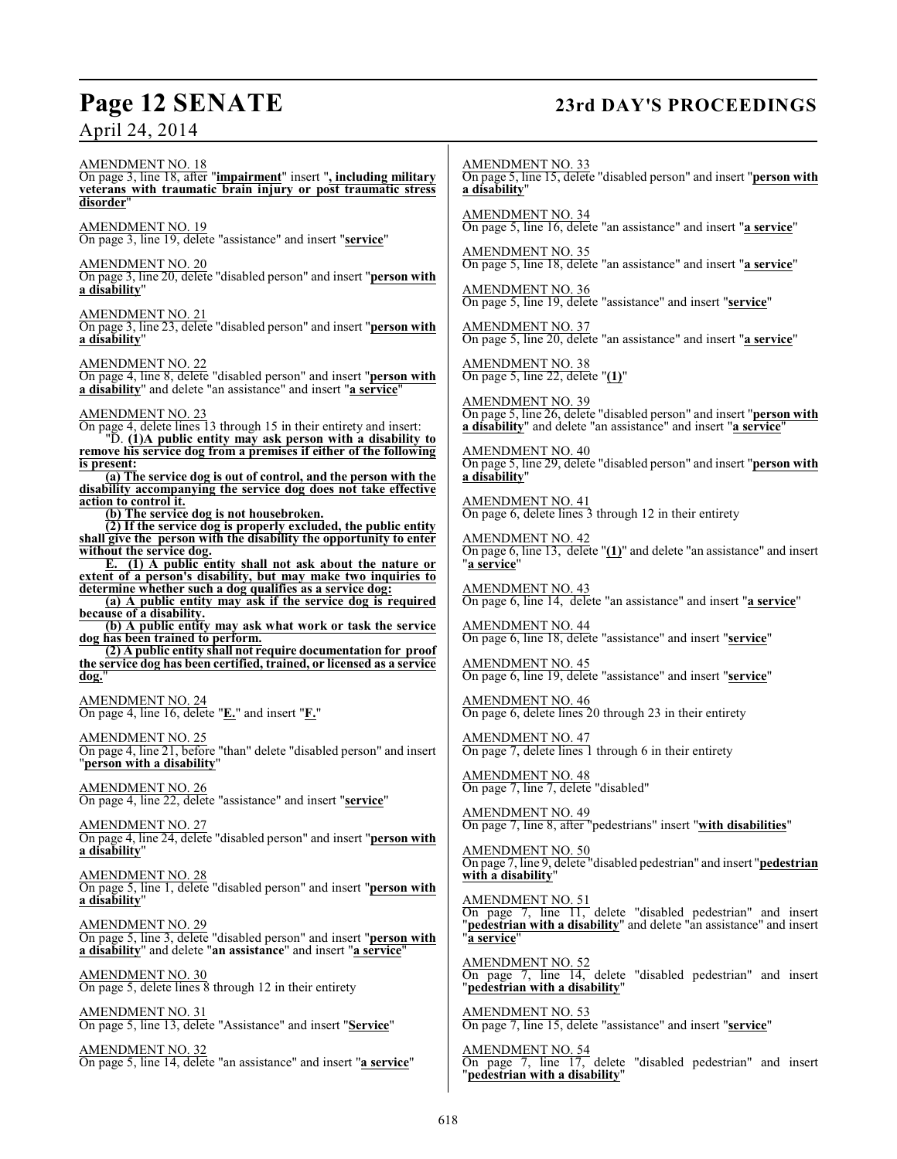## **Page 12 SENATE 23rd DAY'S PROCEEDINGS**

AMENDMENT NO. 18 On page 3, line 18, after "**impairment**" insert "**, including military veterans with traumatic brain injury or post traumatic stress disorder**" AMENDMENT NO. 19 On page 3, line 19, delete "assistance" and insert "**service**" AMENDMENT NO. 20 On page 3, line 20, delete "disabled person" and insert "**person with a disability**" AMENDMENT NO. 21 On page 3, line 23, delete "disabled person" and insert "**person with a disability**" AMENDMENT NO. 22 On page 4, line 8, delete "disabled person" and insert "**person with a disability**" and delete "an assistance" and insert "**a service**" AMENDMENT NO. 23 On page 4, delete lines 13 through 15 in their entirety and insert: "D. **(1)A public entity may ask person with a disability to remove his service dog from a premises if either of the following is present: (a) The service dog is out of control, and the person with the disability accompanying the service dog does not take effective action to control it. (b) The service dog is not housebroken. (2) If the service dog is properly excluded, the public entity shall give the person with the disability the opportunity to enter without the service dog. E. (1) A public entity shall not ask about the nature or extent of a person's disability, but may make two inquiries to determine whether such a dog qualifies as a service dog: (a) A public entity may ask if the service dog is required because of a disability. (b) A public entity may ask what work or task the service dog has been trained to perform. (2) A public entity shall not require documentation for proof the service dog has been certified, trained, or licensed as a service dog.**" AMENDMENT NO. 24 On page 4, line 16, delete "**E.**" and insert "**F.**" AMENDMENT NO. 25 On page 4, line 21, before "than" delete "disabled person" and insert "**person with a disability**" AMENDMENT NO. 26 On page 4, line 22, delete "assistance" and insert "**service**" AMENDMENT NO. 27 On page 4, line 24, delete "disabled person" and insert "**person with a disability**" AMENDMENT NO. 28 On page 5, line 1, delete "disabled person" and insert "**person with a disability**" AMENDMENT NO. 29 On page 5, line 3, delete "disabled person" and insert "**person with a disability**" and delete "**an assistance**" and insert "**a service**" AMENDMENT NO. 30 On page 5, delete lines 8 through 12 in their entirety AMENDMENT NO. 31 On page 5, line 13, delete "Assistance" and insert "**Service**" AMENDMENT NO. 32 On page 5, line 14, delete "an assistance" and insert "**a service**" AMENDMENT NO. 33 On page 5, line 15, delete "disabled person" and insert "**person with a disability**" AMENDMENT NO. 34 On page 5, line 16, delete "an assistance" and insert "**a service**" AMENDMENT NO. 35 On page 5, line 18, delete "an assistance" and insert "**a service**" AMENDMENT NO. 36 On page 5, line 19, delete "assistance" and insert "**service**" AMENDMENT NO. 37 On page 5, line 20, delete "an assistance" and insert "**a service**" AMENDMENT NO. 38 On page 5, line 22, delete "**(1)**" AMENDMENT NO. 39 On page 5, line 26, delete "disabled person" and insert "**person with a disability**" and delete "an assistance" and insert "**a service**" AMENDMENT NO. 40 On page 5, line 29, delete "disabled person" and insert "**person with a disability**" AMENDMENT NO. 41 On page 6, delete lines 3 through 12 in their entirety AMENDMENT NO. 42 On page 6, line 13, delete "**(1)**" and delete "an assistance" and insert "**a service**" AMENDMENT NO. 43 On page 6, line 14, delete "an assistance" and insert "**a service**" AMENDMENT NO. 44 On page 6, line 18, delete "assistance" and insert "**service**" AMENDMENT NO. 45 On page 6, line 19, delete "assistance" and insert "**service**" AMENDMENT NO. 46 On page 6, delete lines 20 through 23 in their entirety AMENDMENT NO. 47 On page 7, delete lines 1 through 6 in their entirety AMENDMENT NO. 48 On page 7, line 7, delete "disabled" AMENDMENT NO. 49 On page 7, line 8, after "pedestrians" insert "**with disabilities**" AMENDMENT NO. 50 On page 7, line 9, delete "disabled pedestrian" and insert "**pedestrian with a disability**" AMENDMENT NO. 51 On page 7, line 11, delete "disabled pedestrian" and insert "**pedestrian with a disability**" and delete "an assistance" and insert "**a service**" AMENDMENT NO. 52 On page 7, line 14, delete "disabled pedestrian" and insert "**pedestrian with a disability**" AMENDMENT NO. 53 On page 7, line 15, delete "assistance" and insert "**service**" AMENDMENT NO. 54 On page 7, line 17, delete "disabled pedestrian" and insert "**pedestrian with a disability**"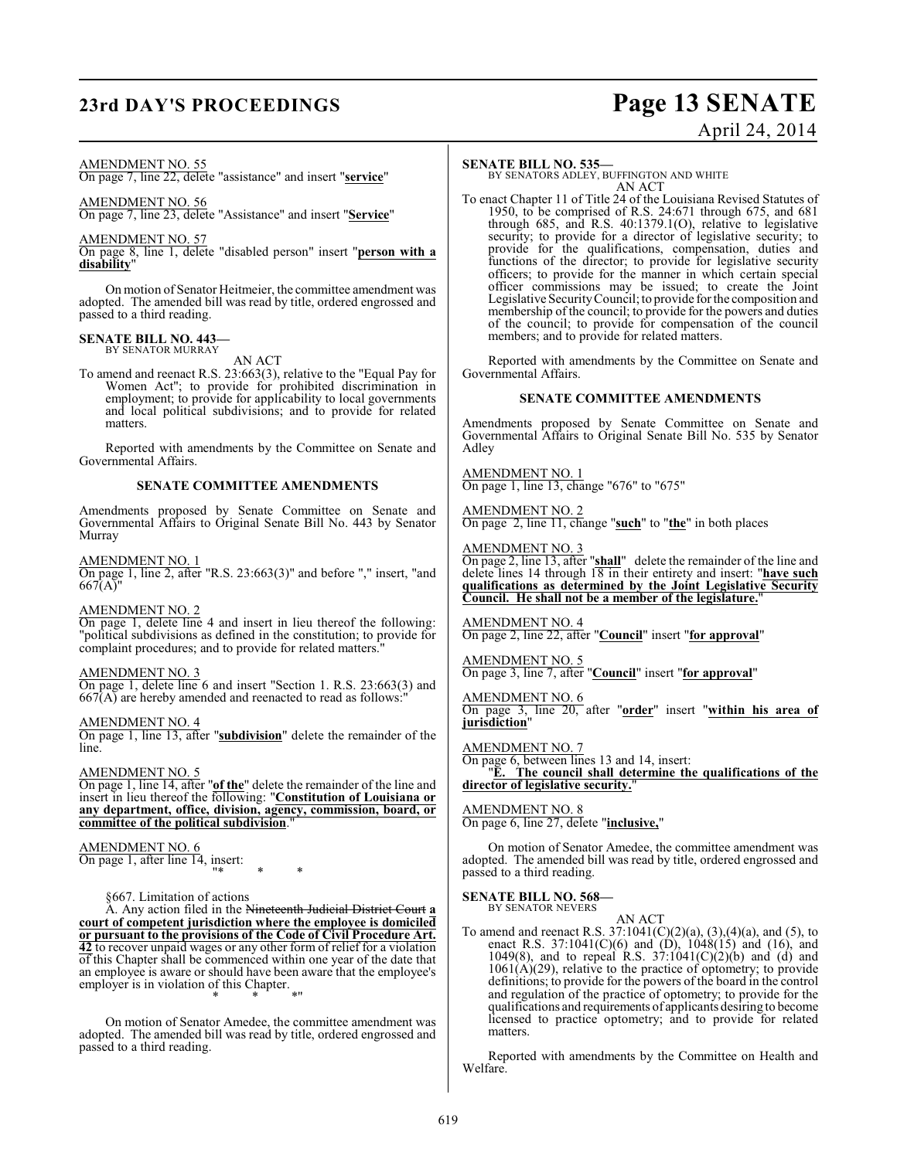## **23rd DAY'S PROCEEDINGS Page 13 SENATE**

# April 24, 2014

#### AMENDMENT NO. 55

On page 7, line 22, delete "assistance" and insert "**service**"

#### AMENDMENT NO. 56

On page 7, line 23, delete "Assistance" and insert "**Service**"

#### AMENDMENT NO. 57

On page 8, line 1, delete "disabled person" insert "**person with a disability**"

On motion of Senator Heitmeier, the committee amendment was adopted. The amended bill was read by title, ordered engrossed and passed to a third reading.

#### **SENATE BILL NO. 443—** BY SENATOR MURRAY

AN ACT

To amend and reenact R.S. 23:663(3), relative to the "Equal Pay for Women Act"; to provide for prohibited discrimination in employment; to provide for applicability to local governments and local political subdivisions; and to provide for related matters.

Reported with amendments by the Committee on Senate and Governmental Affairs.

#### **SENATE COMMITTEE AMENDMENTS**

Amendments proposed by Senate Committee on Senate and Governmental Affairs to Original Senate Bill No. 443 by Senator Murray

AMENDMENT NO. 1

On page 1, line 2, after "R.S. 23:663(3)" and before "," insert, "and 667(A)"

#### AMENDMENT NO. 2

On page 1, delete line 4 and insert in lieu thereof the following: "political subdivisions as defined in the constitution; to provide for complaint procedures; and to provide for related matters.

#### AMENDMENT NO. 3

On page 1, delete line 6 and insert "Section 1. R.S. 23:663(3) and  $667(A)$  are hereby amended and reenacted to read as follows:

AMENDMENT NO. 4

On page 1, line 13, after "**subdivision**" delete the remainder of the line.

#### AMENDMENT NO. 5

On page 1, line 14, after "**of the**" delete the remainder of the line and insert in lieu thereof the following: "**Constitution of Louisiana or any department, office, division, agency, commission, board, or committee of the political subdivision**."

## AMENDMENT NO. 6

On page 1, after line 14, insert: "\* \* \*

§667. Limitation of actions

A. Any action filed in the Nineteenth Judicial District Court **a court of competent jurisdiction where the employee is domiciled or pursuant to the provisions of the Code of Civil Procedure Art. 42** to recover unpaid wages or any other form of relief for a violation of this Chapter shall be commenced within one year of the date that an employee is aware or should have been aware that the employee's employer is in violation of this Chapter. \* \* \*"

On motion of Senator Amedee, the committee amendment was adopted. The amended bill was read by title, ordered engrossed and passed to a third reading.

#### **SENATE BILL NO. 535—**

BY SENATORS ADLEY, BUFFINGTON AND WHITE AN ACT

To enact Chapter 11 of Title 24 of the Louisiana Revised Statutes of 1950, to be comprised of R.S. 24:671 through 675, and 681 through 685, and R.S. 40:1379.1(O), relative to legislative security; to provide for a director of legislative security; to provide for the qualifications, compensation, duties and functions of the director; to provide for legislative security officers; to provide for the manner in which certain special officer commissions may be issued; to create the Joint Legislative SecurityCouncil; to provide for the composition and membership of the council; to provide for the powers and duties of the council; to provide for compensation of the council members; and to provide for related matters.

Reported with amendments by the Committee on Senate and Governmental Affairs.

#### **SENATE COMMITTEE AMENDMENTS**

Amendments proposed by Senate Committee on Senate and Governmental Affairs to Original Senate Bill No. 535 by Senator Adley

AMENDMENT NO. 1 On page 1, line 13, change "676" to "675"

AMENDMENT NO. 2 On page 2, line 11, change "**such**" to "**the**" in both places

#### AMENDMENT NO. 3

On page 2, line 13, after "**shall**" delete the remainder of the line and delete lines 14 through 18 in their entirety and insert: "**have such qualifications as determined by the Joint Legislative Security Council. He shall not be a member of the legislature.**"

AMENDMENT NO. 4 On page 2, line 22, after "**Council**" insert "**for approval**"

#### AMENDMENT NO. 5 On page 3, line 7, after "**Council**" insert "**for approval**"

AMENDMENT NO. 6 On page 3, line 20, after "**order**" insert "**within his area of jurisdiction**"

#### AMENDMENT NO. 7

On page 6, between lines 13 and 14, insert:

"**E. The council shall determine the qualifications of the director of legislative security.**"

## AMENDMENT NO. 8

On page 6, line 27, delete "**inclusive,**"

On motion of Senator Amedee, the committee amendment was adopted. The amended bill was read by title, ordered engrossed and passed to a third reading.

#### **SENATE BILL NO. 568—** BY SENATOR NEVERS

AN ACT

To amend and reenact R.S.  $37:1041(C)(2)(a)$ ,  $(3),(4)(a)$ , and  $(5)$ , to enact R.S. 37:1041(C)(6) and (D), 1048(15) and (16), and 1049(8), and to repeal R.S.  $37:1041(C)(2)(b)$  and (d) and  $1061(\vec{A})(29)$ , relative to the practice of optometry; to provide definitions; to provide for the powers of the board in the control and regulation of the practice of optometry; to provide for the qualifications and requirements of applicants desiring to become licensed to practice optometry; and to provide for related matters.

Reported with amendments by the Committee on Health and Welfare.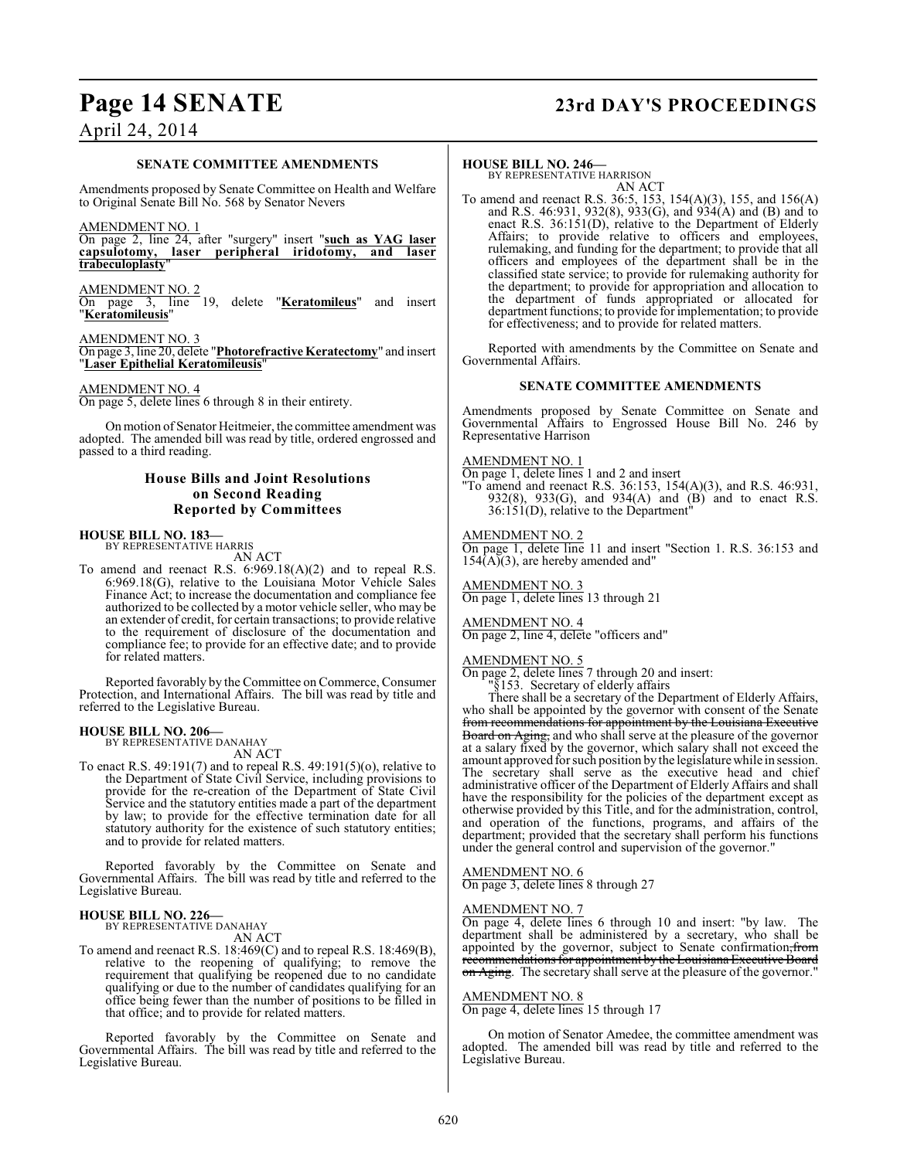#### **SENATE COMMITTEE AMENDMENTS**

Amendments proposed by Senate Committee on Health and Welfare to Original Senate Bill No. 568 by Senator Nevers

AMENDMENT NO. 1

On page 2, line 24, after "surgery" insert "**such as YAG laser capsulotomy, laser peripheral iridotomy, and laser trabeculoplasty**"

AMENDMENT NO. 2

On page 3, line 19, delete "**Keratomileus**" and insert "**Keratomileusis**"

AMENDMENT NO. 3

On page 3, line 20, delete "**Photorefractive Keratectomy**" and insert "**Laser Epithelial Keratomileusis**"

#### AMENDMENT NO. 4

On page 5, delete lines 6 through 8 in their entirety.

On motion of Senator Heitmeier, the committee amendment was adopted. The amended bill was read by title, ordered engrossed and passed to a third reading.

#### **House Bills and Joint Resolutions on Second Reading Reported by Committees**

#### **HOUSE BILL NO. 183—** BY REPRESENTATIVE HARRIS

AN ACT

To amend and reenact R.S. 6:969.18(A)(2) and to repeal R.S. 6:969.18(G), relative to the Louisiana Motor Vehicle Sales Finance Act; to increase the documentation and compliance fee authorized to be collected by a motor vehicle seller, who may be an extender of credit, for certain transactions; to provide relative to the requirement of disclosure of the documentation and compliance fee; to provide for an effective date; and to provide for related matters.

Reported favorably by the Committee on Commerce, Consumer Protection, and International Affairs. The bill was read by title and referred to the Legislative Bureau.

## **HOUSE BILL NO. 206—** BY REPRESENTATIVE DANAHAY

AN ACT

To enact R.S. 49:191(7) and to repeal R.S. 49:191(5)(o), relative to the Department of State Civil Service, including provisions to provide for the re-creation of the Department of State Civil Service and the statutory entities made a part of the department by law; to provide for the effective termination date for all statutory authority for the existence of such statutory entities; and to provide for related matters.

Reported favorably by the Committee on Senate and Governmental Affairs. The bill was read by title and referred to the Legislative Bureau.

#### **HOUSE BILL NO. 226—** BY REPRESENTATIVE DANAHAY

AN ACT

To amend and reenact R.S. 18:469(C) and to repeal R.S. 18:469(B), relative to the reopening of qualifying; to remove the requirement that qualifying be reopened due to no candidate qualifying or due to the number of candidates qualifying for an office being fewer than the number of positions to be filled in that office; and to provide for related matters.

Reported favorably by the Committee on Senate and Governmental Affairs. The bill was read by title and referred to the Legislative Bureau.

## **Page 14 SENATE 23rd DAY'S PROCEEDINGS**

**HOUSE BILL NO. 246—** BY REPRESENTATIVE HARRISON AN ACT

To amend and reenact R.S. 36:5, 153, 154(A)(3), 155, and 156(A) and R.S. 46:931, 932(8), 933(G), and 934(A) and (B) and to enact R.S. 36:151(D), relative to the Department of Elderly Affairs; to provide relative to officers and employees, rulemaking, and funding for the department; to provide that all officers and employees of the department shall be in the classified state service; to provide for rulemaking authority for the department; to provide for appropriation and allocation to the department of funds appropriated or allocated for department functions; to provide for implementation; to provide for effectiveness; and to provide for related matters.

Reported with amendments by the Committee on Senate and Governmental Affairs.

#### **SENATE COMMITTEE AMENDMENTS**

Amendments proposed by Senate Committee on Senate and Governmental Affairs to Engrossed House Bill No. 246 by Representative Harrison

#### AMENDMENT NO. 1

On page 1, delete lines 1 and 2 and insert "To amend and reenact R.S. 36:153, 154(A)(3), and R.S. 46:931, 932(8), 933(G), and 934(A) and (B) and to enact R.S.  $36:151(D)$ , relative to the Department<sup>"</sup>

#### AMENDMENT NO. 2

On page 1, delete line 11 and insert "Section 1. R.S. 36:153 and  $154(\overrightarrow{A})(3)$ , are hereby amended and"

AMENDMENT NO. 3 On page 1, delete lines 13 through 21

### AMENDMENT NO. 4

On page 2, line 4, delete "officers and"

#### AMENDMENT NO. 5

On page 2, delete lines 7 through 20 and insert: "§153. Secretary of elderly affairs

There shall be a secretary of the Department of Elderly Affairs, who shall be appointed by the governor with consent of the Senate from recommendations for appointment by the Louisiana Executive Board on Aging, and who shall serve at the pleasure of the governor at a salary fixed by the governor, which salary shall not exceed the amount approved for such position by the legislature while in session. The secretary shall serve as the executive head and chief administrative officer of the Department of Elderly Affairs and shall have the responsibility for the policies of the department except as otherwise provided by this Title, and for the administration, control, and operation of the functions, programs, and affairs of the department; provided that the secretary shall perform his functions under the general control and supervision of the governor."

### AMENDMENT NO. 6

On page 3, delete lines 8 through 27

#### AMENDMENT NO. 7

On page 4, delete lines 6 through 10 and insert: "by law. The department shall be administered by a secretary, who shall be appointed by the governor, subject to Senate confirmation, from recommendations for appointment by the Louisiana Executive Board on Aging. The secretary shall serve at the pleasure of the governor."

#### AMENDMENT NO. 8

On page 4, delete lines 15 through 17

On motion of Senator Amedee, the committee amendment was adopted. The amended bill was read by title and referred to the Legislative Bureau.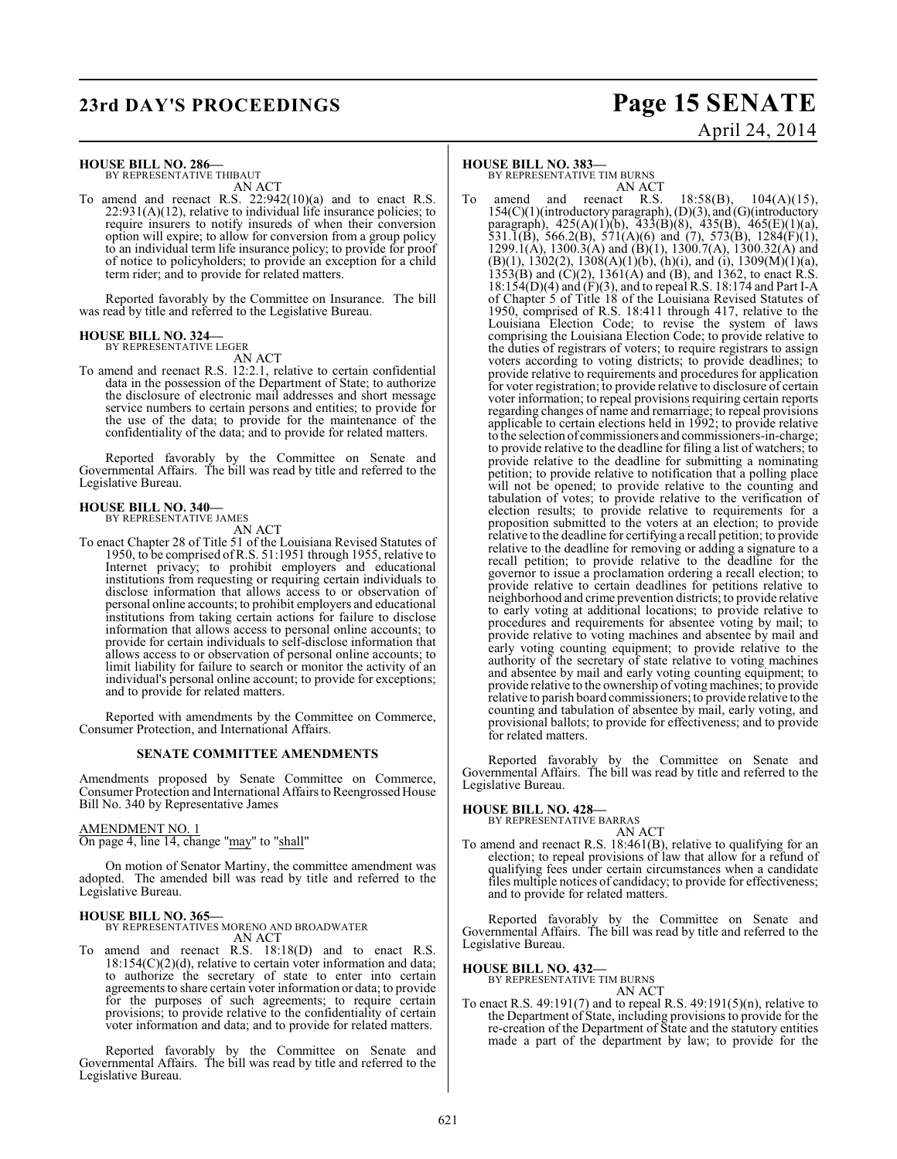## **23rd DAY'S PROCEEDINGS Page 15 SENATE**

# April 24, 2014

## **HOUSE BILL NO. 286—** BY REPRESENTATIVE THIBAUT

AN ACT

To amend and reenact R.S. 22:942(10)(a) and to enact R.S.  $22:931(A)(12)$ , relative to individual life insurance policies; to require insurers to notify insureds of when their conversion option will expire; to allow for conversion from a group policy to an individual term life insurance policy; to provide for proof of notice to policyholders; to provide an exception for a child term rider; and to provide for related matters.

Reported favorably by the Committee on Insurance. The bill was read by title and referred to the Legislative Bureau.

#### **HOUSE BILL NO. 324—** BY REPRESENTATIVE LEGER

AN ACT

To amend and reenact R.S. 12:2.1, relative to certain confidential data in the possession of the Department of State; to authorize the disclosure of electronic mail addresses and short message service numbers to certain persons and entities; to provide for the use of the data; to provide for the maintenance of the confidentiality of the data; and to provide for related matters.

Reported favorably by the Committee on Senate and Governmental Affairs. The bill was read by title and referred to the Legislative Bureau.

## **HOUSE BILL NO. 340—** BY REPRESENTATIVE JAMES

- AN ACT
- To enact Chapter 28 of Title 51 of the Louisiana Revised Statutes of 1950, to be comprised ofR.S. 51:1951 through 1955, relative to Internet privacy; to prohibit employers and educational institutions from requesting or requiring certain individuals to disclose information that allows access to or observation of personal online accounts; to prohibit employers and educational institutions from taking certain actions for failure to disclose information that allows access to personal online accounts; to provide for certain individuals to self-disclose information that allows access to or observation of personal online accounts; to limit liability for failure to search or monitor the activity of an individual's personal online account; to provide for exceptions; and to provide for related matters.

Reported with amendments by the Committee on Commerce, Consumer Protection, and International Affairs.

#### **SENATE COMMITTEE AMENDMENTS**

Amendments proposed by Senate Committee on Commerce, Consumer Protection and International Affairs to Reengrossed House Bill No. 340 by Representative James

#### AMENDMENT NO. 1

On page 4, line 14, change "may" to "shall"

On motion of Senator Martiny, the committee amendment was adopted. The amended bill was read by title and referred to the Legislative Bureau.

#### **HOUSE BILL NO. 365—** BY REPRESENTATIVES MORENO AND BROADWATER

AN ACT To amend and reenact R.S. 18:18(D) and to enact R.S.

18:154(C)(2)(d), relative to certain voter information and data; to authorize the secretary of state to enter into certain agreements to share certain voter information or data; to provide for the purposes of such agreements; to require certain provisions; to provide relative to the confidentiality of certain voter information and data; and to provide for related matters.

Reported favorably by the Committee on Senate and Governmental Affairs. The bill was read by title and referred to the Legislative Bureau.

#### **HOUSE BILL NO. 383—**

BY REPRESENTATIVE TIM BURNS AN ACT

amend and reenact R.S.  $18:58(B)$ ,  $104(A)(15)$ , 154(C)(1)(introductory paragraph), (D)(3), and (G)(introductory paragraph), 425(A)(1)(b), 433(B)(8), 435(B), 465(E)(1)(a), 531.1(B), 566.2(B), 571(A)(6) and (7), 573(B), 1284(F)(1), 1299.1(A), 1300.3(A) and (B)(1), 1300.7(A), 1300.32(A) and  $(B)(1)$ , 1302(2), 1308(A)(1)(b), (h)(i), and (i), 1309(M)(1)(a),  $1353(B)$  and  $(C)(2)$ ,  $1361(A)$  and  $(B)$ , and  $1362$ , to enact R.S. 18:154(D)(4) and (F)(3), and to repeal R.S. 18:174 and Part I-A of Chapter 5 of Title 18 of the Louisiana Revised Statutes of 1950, comprised of R.S. 18:411 through 417, relative to the Louisiana Election Code; to revise the system of laws comprising the Louisiana Election Code; to provide relative to the duties of registrars of voters; to require registrars to assign voters according to voting districts; to provide deadlines; to provide relative to requirements and procedures for application for voter registration; to provide relative to disclosure of certain voter information; to repeal provisions requiring certain reports regarding changes of name and remarriage; to repeal provisions applicable to certain elections held in 1992; to provide relative to the selection of commissioners and commissioners-in-charge; to provide relative to the deadline for filing a list of watchers; to provide relative to the deadline for submitting a nominating petition; to provide relative to notification that a polling place will not be opened; to provide relative to the counting and tabulation of votes; to provide relative to the verification of election results; to provide relative to requirements for a proposition submitted to the voters at an election; to provide relative to the deadline for certifying a recall petition; to provide relative to the deadline for removing or adding a signature to a recall petition; to provide relative to the deadline for the governor to issue a proclamation ordering a recall election; to provide relative to certain deadlines for petitions relative to neighborhood and crime prevention districts; to provide relative to early voting at additional locations; to provide relative to procedures and requirements for absentee voting by mail; to provide relative to voting machines and absentee by mail and early voting counting equipment; to provide relative to the authority of the secretary of state relative to voting machines and absentee by mail and early voting counting equipment; to provide relative to the ownership of voting machines; to provide relative to parish board commissioners; to provide relative to the counting and tabulation of absentee by mail, early voting, and provisional ballots; to provide for effectiveness; and to provide for related matters.

Reported favorably by the Committee on Senate and Governmental Affairs. The bill was read by title and referred to the Legislative Bureau.

# **HOUSE BILL NO. 428—** BY REPRESENTATIVE BARRAS AN ACT

To amend and reenact R.S. 18:461(B), relative to qualifying for an election; to repeal provisions of law that allow for a refund of qualifying fees under certain circumstances when a candidate files multiple notices of candidacy; to provide for effectiveness; and to provide for related matters.

Reported favorably by the Committee on Senate and Governmental Affairs. The bill was read by title and referred to the Legislative Bureau.

#### **HOUSE BILL NO. 432—**

BY REPRESENTATIVE TIM BURNS AN ACT

To enact R.S.  $49:191(7)$  and to repeal R.S.  $49:191(5)(n)$ , relative to the Department of State, including provisions to provide for the re-creation of the Department of State and the statutory entities made a part of the department by law; to provide for the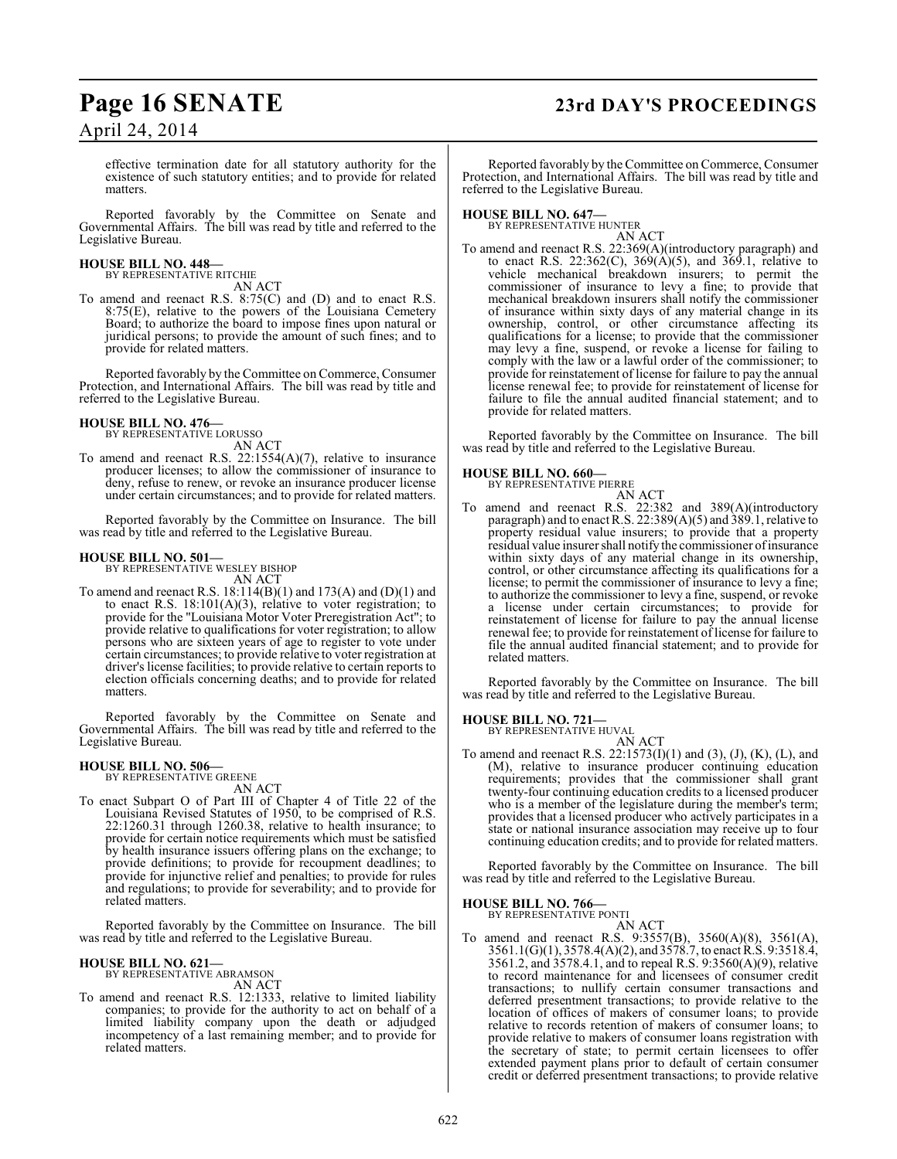## **Page 16 SENATE 23rd DAY'S PROCEEDINGS**

## April 24, 2014

effective termination date for all statutory authority for the existence of such statutory entities; and to provide for related matters.

Reported favorably by the Committee on Senate and Governmental Affairs. The bill was read by title and referred to the Legislative Bureau.

## **HOUSE BILL NO. 448—** BY REPRESENTATIVE RITCHIE

AN ACT

To amend and reenact R.S. 8:75(C) and (D) and to enact R.S. 8:75(E), relative to the powers of the Louisiana Cemetery Board; to authorize the board to impose fines upon natural or juridical persons; to provide the amount of such fines; and to provide for related matters.

Reported favorably by the Committee on Commerce, Consumer Protection, and International Affairs. The bill was read by title and referred to the Legislative Bureau.

## **HOUSE BILL NO. 476—** BY REPRESENTATIVE LORUSSO

AN ACT

To amend and reenact R.S. 22:1554(A)(7), relative to insurance producer licenses; to allow the commissioner of insurance to deny, refuse to renew, or revoke an insurance producer license under certain circumstances; and to provide for related matters.

Reported favorably by the Committee on Insurance. The bill was read by title and referred to the Legislative Bureau.

#### **HOUSE BILL NO. 501—**

BY REPRESENTATIVE WESLEY BISHOP AN ACT

To amend and reenact R.S. 18:114(B)(1) and 173(A) and (D)(1) and to enact R.S.  $18:101(A)(3)$ , relative to voter registration; to provide for the "Louisiana Motor Voter Preregistration Act"; to provide relative to qualifications for voter registration; to allow persons who are sixteen years of age to register to vote under certain circumstances; to provide relative to voter registration at driver's license facilities; to provide relative to certain reports to election officials concerning deaths; and to provide for related matters.

Reported favorably by the Committee on Senate and Governmental Affairs. The bill was read by title and referred to the Legislative Bureau.

#### **HOUSE BILL NO. 506—** BY REPRESENTATIVE GREENE

AN ACT

To enact Subpart O of Part III of Chapter 4 of Title 22 of the Louisiana Revised Statutes of 1950, to be comprised of R.S. 22:1260.31 through 1260.38, relative to health insurance; to provide for certain notice requirements which must be satisfied by health insurance issuers offering plans on the exchange; to provide definitions; to provide for recoupment deadlines; to provide for injunctive relief and penalties; to provide for rules and regulations; to provide for severability; and to provide for related matters.

Reported favorably by the Committee on Insurance. The bill was read by title and referred to the Legislative Bureau.

#### **HOUSE BILL NO. 621—**

BY REPRESENTATIVE ABRAMSON AN ACT

To amend and reenact R.S. 12:1333, relative to limited liability companies; to provide for the authority to act on behalf of a limited liability company upon the death or adjudged incompetency of a last remaining member; and to provide for related matters.

Reported favorably by the Committee on Commerce, Consumer Protection, and International Affairs. The bill was read by title and referred to the Legislative Bureau.

**HOUSE BILL NO. 647—** BY REPRESENTATIVE HUNTER AN ACT

To amend and reenact R.S. 22:369(A)(introductory paragraph) and to enact R.S. 22:362(C), 369(A)(5), and 369.1, relative to vehicle mechanical breakdown insurers; to permit the commissioner of insurance to levy a fine; to provide that mechanical breakdown insurers shall notify the commissioner of insurance within sixty days of any material change in its ownership, control, or other circumstance affecting its qualifications for a license; to provide that the commissioner may levy a fine, suspend, or revoke a license for failing to comply with the law or a lawful order of the commissioner; to provide for reinstatement of license for failure to pay the annual license renewal fee; to provide for reinstatement of license for failure to file the annual audited financial statement; and to provide for related matters.

Reported favorably by the Committee on Insurance. The bill was read by title and referred to the Legislative Bureau.

# **HOUSE BILL NO. 660—** BY REPRESENTATIVE PIERRE

AN ACT

To amend and reenact R.S. 22:382 and 389(A)(introductory paragraph) and to enact R.S. 22:389(A)(5) and 389.1, relative to property residual value insurers; to provide that a property residual value insurer shall notify the commissioner of insurance within sixty days of any material change in its ownership, control, or other circumstance affecting its qualifications for a license; to permit the commissioner of insurance to levy a fine; to authorize the commissioner to levy a fine, suspend, or revoke a license under certain circumstances; to provide for reinstatement of license for failure to pay the annual license renewal fee; to provide for reinstatement of license for failure to file the annual audited financial statement; and to provide for related matters.

Reported favorably by the Committee on Insurance. The bill was read by title and referred to the Legislative Bureau.

# **HOUSE BILL NO. 721—** BY REPRESENTATIVE HUVAL

AN ACT

To amend and reenact R.S. 22:1573(I)(1) and (3), (J), (K), (L), and (M), relative to insurance producer continuing education requirements; provides that the commissioner shall grant twenty-four continuing education credits to a licensed producer who is a member of the legislature during the member's term; provides that a licensed producer who actively participates in a state or national insurance association may receive up to four continuing education credits; and to provide for related matters.

Reported favorably by the Committee on Insurance. The bill was read by title and referred to the Legislative Bureau.

## **HOUSE BILL NO. 766—** BY REPRESENTATIVE PONTI

AN ACT

To amend and reenact R.S. 9:3557(B), 3560(A)(8), 3561(A), 3561.1(G)(1), 3578.4(A)(2), and 3578.7, to enact R.S. 9:3518.4, 3561.2, and 3578.4.1, and to repeal R.S. 9:3560(A)(9), relative to record maintenance for and licensees of consumer credit transactions; to nullify certain consumer transactions and deferred presentment transactions; to provide relative to the location of offices of makers of consumer loans; to provide relative to records retention of makers of consumer loans; to provide relative to makers of consumer loans registration with the secretary of state; to permit certain licensees to offer extended payment plans prior to default of certain consumer credit or deferred presentment transactions; to provide relative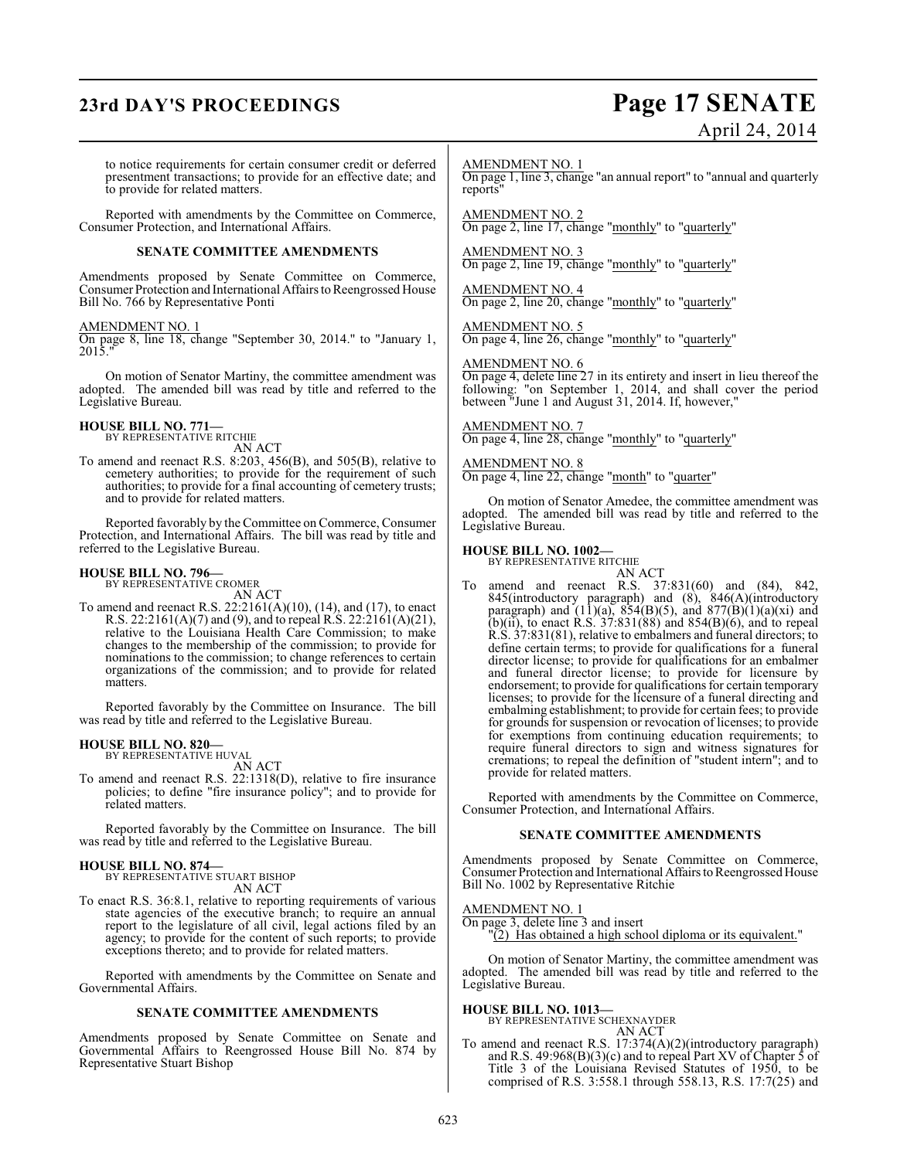## **23rd DAY'S PROCEEDINGS Page 17 SENATE**

# April 24, 2014

to notice requirements for certain consumer credit or deferred presentment transactions; to provide for an effective date; and to provide for related matters.

Reported with amendments by the Committee on Commerce, Consumer Protection, and International Affairs.

#### **SENATE COMMITTEE AMENDMENTS**

Amendments proposed by Senate Committee on Commerce, Consumer Protection and International Affairs to Reengrossed House Bill No. 766 by Representative Ponti

#### AMENDMENT NO. 1

On page 8, line 18, change "September 30, 2014." to "January 1, 2015."

On motion of Senator Martiny, the committee amendment was adopted. The amended bill was read by title and referred to the Legislative Bureau.

## **HOUSE BILL NO. 771—** BY REPRESENTATIVE RITCHIE

AN ACT

To amend and reenact R.S. 8:203, 456(B), and 505(B), relative to cemetery authorities; to provide for the requirement of such authorities; to provide for a final accounting of cemetery trusts; and to provide for related matters.

Reported favorably by the Committee on Commerce, Consumer Protection, and International Affairs. The bill was read by title and referred to the Legislative Bureau.

## **HOUSE BILL NO. 796—** BY REPRESENTATIVE CROMER

AN ACT

To amend and reenact R.S. 22:2161(A)(10), (14), and (17), to enact R.S. 22:2161(A)(7) and (9), and to repeal R.S. 22:2161(A)(21), relative to the Louisiana Health Care Commission; to make changes to the membership of the commission; to provide for nominations to the commission; to change references to certain organizations of the commission; and to provide for related matters.

Reported favorably by the Committee on Insurance. The bill was read by title and referred to the Legislative Bureau.

#### **HOUSE BILL NO. 820—**

BY REPRESENTATIVE HUVAL AN ACT

To amend and reenact R.S. 22:1318(D), relative to fire insurance policies; to define "fire insurance policy"; and to provide for related matters.

Reported favorably by the Committee on Insurance. The bill was read by title and referred to the Legislative Bureau.

#### **HOUSE BILL NO. 874—** BY REPRESENTATIVE STUART BISHOP

AN ACT

To enact R.S. 36:8.1, relative to reporting requirements of various state agencies of the executive branch; to require an annual report to the legislature of all civil, legal actions filed by an agency; to provide for the content of such reports; to provide exceptions thereto; and to provide for related matters.

Reported with amendments by the Committee on Senate and Governmental Affairs.

#### **SENATE COMMITTEE AMENDMENTS**

Amendments proposed by Senate Committee on Senate and Governmental Affairs to Reengrossed House Bill No. 874 by Representative Stuart Bishop

AMENDMENT NO. 1

On page 1, line 3, change "an annual report" to "annual and quarterly reports"

AMENDMENT NO. 2 On page 2, line 17, change "monthly" to "quarterly"

AMENDMENT NO. 3 On page 2, line 19, change "monthly" to "quarterly"

AMENDMENT NO. 4 On page 2, line 20, change "monthly" to "quarterly"

AMENDMENT NO. 5 On page 4, line 26, change "monthly" to "quarterly"

#### AMENDMENT NO. 6

On page 4, delete line 27 in its entirety and insert in lieu thereof the following: "on September 1, 2014, and shall cover the period between "June 1 and August 31, 2014. If, however,"

AMENDMENT NO. 7 On page 4, line 28, change "monthly" to "quarterly"

AMENDMENT NO. 8 On page 4, line 22, change "month" to "quarter"

On motion of Senator Amedee, the committee amendment was adopted. The amended bill was read by title and referred to the Legislative Bureau.

## **HOUSE BILL NO. 1002—** BY REPRESENTATIVE RITCHIE

AN ACT To amend and reenact R.S. 37:831(60) and (84), 842, 845(introductory paragraph) and (8), 846(A)(introductory paragraph) and  $(11)(a)$ , 854 $(B)(5)$ , and 877 $(B)(1)(a)(xi)$  and (b)(ii), to enact R.S.  $37:831(88)$  and  $854(B)(6)$ , and to repeal R.S. 37:831(81), relative to embalmers and funeral directors; to define certain terms; to provide for qualifications for a funeral director license; to provide for qualifications for an embalmer and funeral director license; to provide for licensure by endorsement; to provide for qualifications for certain temporary licenses; to provide for the licensure of a funeral directing and embalming establishment; to provide for certain fees; to provide for grounds for suspension or revocation of licenses; to provide for exemptions from continuing education requirements; to require funeral directors to sign and witness signatures for cremations; to repeal the definition of "student intern"; and to provide for related matters.

Reported with amendments by the Committee on Commerce, Consumer Protection, and International Affairs.

#### **SENATE COMMITTEE AMENDMENTS**

Amendments proposed by Senate Committee on Commerce, Consumer Protection and International Affairs to Reengrossed House Bill No. 1002 by Representative Ritchie

#### AMENDMENT NO. 1

On page 3, delete line 3 and insert "(2) Has obtained a high school diploma or its equivalent."

On motion of Senator Martiny, the committee amendment was adopted. The amended bill was read by title and referred to the Legislative Bureau.

## **HOUSE BILL NO. 1013—** BY REPRESENTATIVE SCHEXNAYDER

AN ACT

To amend and reenact R.S. 17:374(A)(2)(introductory paragraph) and R.S. 49:968(B)(3)(c) and to repeal Part XV of Chapter 5 of Title 3 of the Louisiana Revised Statutes of 1950, to be comprised of R.S. 3:558.1 through 558.13, R.S.  $17:7(25)$  and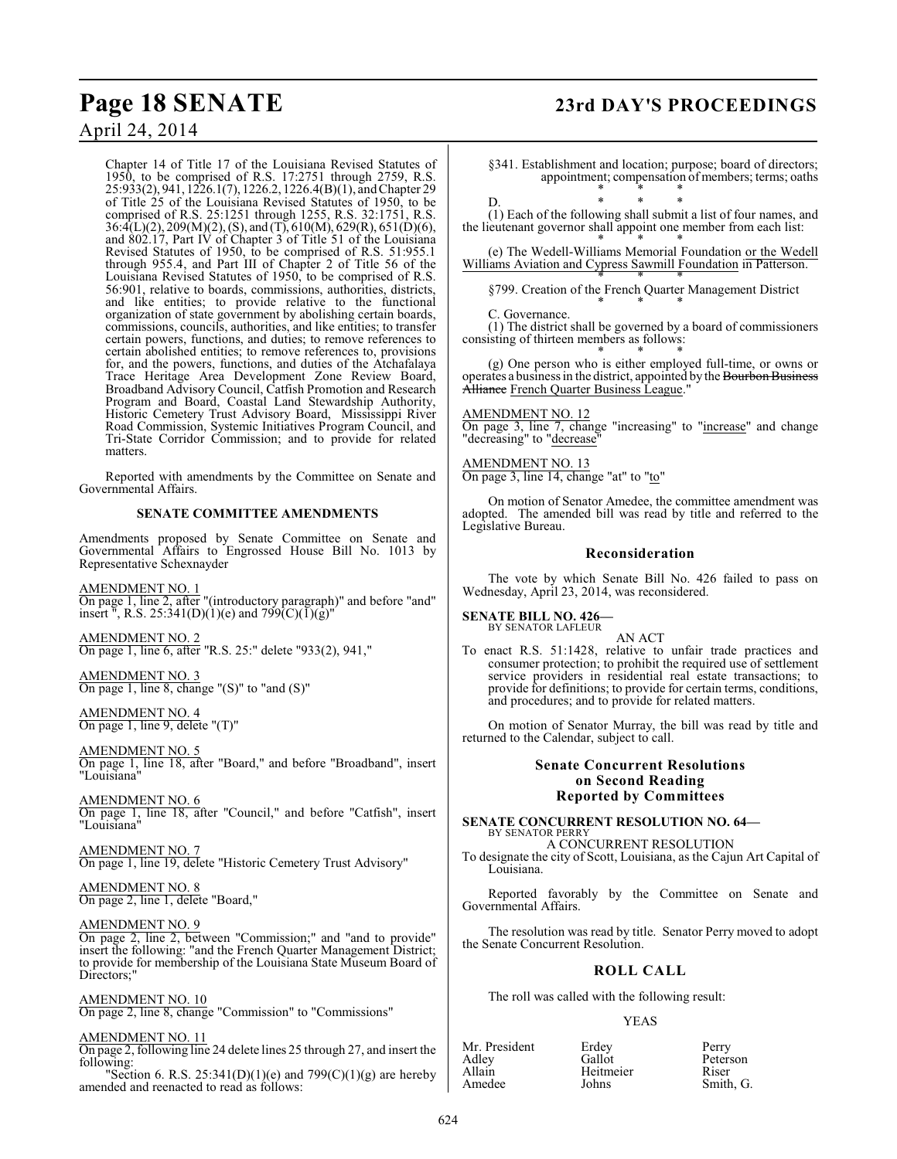## **Page 18 SENATE 23rd DAY'S PROCEEDINGS**

April 24, 2014

Chapter 14 of Title 17 of the Louisiana Revised Statutes of 1950, to be comprised of R.S. 17:2751 through 2759, R.S. 25:933(2), 941, 1226.1(7), 1226.2, 1226.4(B)(1), and Chapter 29 of Title 25 of the Louisiana Revised Statutes of 1950, to be comprised of R.S. 25:1251 through 1255, R.S. 32:1751, R.S. 36:4(L)(2), 209(M)(2), (S), and (T), 610(M), 629(R), 651(D)(6), and 802.17, Part IV of Chapter 3 of Title 51 of the Louisiana Revised Statutes of 1950, to be comprised of R.S. 51:955.1 through 955.4, and Part III of Chapter 2 of Title 56 of the Louisiana Revised Statutes of 1950, to be comprised of R.S. 56:901, relative to boards, commissions, authorities, districts, and like entities; to provide relative to the functional organization of state government by abolishing certain boards, commissions, councils, authorities, and like entities; to transfer certain powers, functions, and duties; to remove references to certain abolished entities; to remove references to, provisions for, and the powers, functions, and duties of the Atchafalaya Trace Heritage Area Development Zone Review Board, Broadband Advisory Council, Catfish Promotion and Research Program and Board, Coastal Land Stewardship Authority, Historic Cemetery Trust Advisory Board, Mississippi River Road Commission, Systemic Initiatives Program Council, and Tri-State Corridor Commission; and to provide for related matters.

Reported with amendments by the Committee on Senate and Governmental Affairs.

#### **SENATE COMMITTEE AMENDMENTS**

Amendments proposed by Senate Committee on Senate and Governmental Affairs to Engrossed House Bill No. 1013 by Representative Schexnayder

AMENDMENT NO. 1 On page 1, line 2, after "(introductory paragraph)" and before "and" insert  $\bar{N}$ , R.S. 25:341(D)(1)(e) and 799(C)(1)(g)

AMENDMENT NO. 2 On page 1, line 6, after "R.S. 25:" delete "933(2), 941,"

AMENDMENT NO. 3 On page 1, line 8, change " $(S)$ " to "and  $(S)$ "

AMENDMENT NO. 4 On page 1, line 9, delete "(T)"

AMENDMENT NO. 5 On page 1, line 18, after "Board," and before "Broadband", insert "Louisiana"

AMENDMENT NO. 6 On page 1, line 18, after "Council," and before "Catfish", insert "Louisiana"

AMENDMENT NO. 7 On page 1, line 19, delete "Historic Cemetery Trust Advisory"

AMENDMENT NO. 8 On page 2, line 1, delete "Board,"

#### AMENDMENT NO. 9

On page 2, line 2, between "Commission;" and "and to provide" insert the following: "and the French Quarter Management District; to provide for membership of the Louisiana State Museum Board of Directors:'

#### AMENDMENT NO. 10

On page 2, line 8, change "Commission" to "Commissions"

#### AMENDMENT NO. 11

On page 2, following line 24 delete lines 25 through 27, and insert the following:

"Section 6. R.S. 25:341(D)(1)(e) and 799(C)(1)(g) are hereby amended and reenacted to read as follows:

§341. Establishment and location; purpose; board of directors; appointment; compensation of members; terms; oaths \* \* \*

D. \* \* \* (1) Each of the following shall submit a list of four names, and the lieutenant governor shall appoint one member from each list:

\* \* \* (e) The Wedell-Williams Memorial Foundation or the Wedell Williams Aviation and Cypress Sawmill Foundation in Patterson.

\* \* \* §799. Creation of the French Quarter Management District \* \* \*

C. Governance.

(1) The district shall be governed by a board of commissioners consisting of thirteen members as follows:

\* \* \* (g) One person who is either employed full-time, or owns or operates a business in the district, appointed by the Bourbon Business Alliance French Quarter Business League."

AMENDMENT NO. 12 On page 3, line 7, change "increasing" to "increase" and change "decreasing" to "decrease

AMENDMENT NO. 13 On page 3, line 14, change "at" to "to"

On motion of Senator Amedee, the committee amendment was adopted. The amended bill was read by title and referred to the Legislative Bureau.

#### **Reconsideration**

The vote by which Senate Bill No. 426 failed to pass on Wednesday, April 23, 2014, was reconsidered.

#### **SENATE BILL NO. 426—** BY SENATOR LAFLEUR

AN ACT

To enact R.S. 51:1428, relative to unfair trade practices and consumer protection; to prohibit the required use of settlement service providers in residential real estate transactions; to provide for definitions; to provide for certain terms, conditions, and procedures; and to provide for related matters.

On motion of Senator Murray, the bill was read by title and returned to the Calendar, subject to call.

#### **Senate Concurrent Resolutions on Second Reading Reported by Committees**

#### **SENATE CONCURRENT RESOLUTION NO. 64—** BY SENATOR PERRY

A CONCURRENT RESOLUTION

To designate the city of Scott, Louisiana, as the Cajun Art Capital of Louisiana.

Reported favorably by the Committee on Senate and Governmental Affairs.

The resolution was read by title. Senator Perry moved to adopt the Senate Concurrent Resolution.

#### **ROLL CALL**

The roll was called with the following result:

#### YEAS

| Mr. President | Erdey     | Perry |
|---------------|-----------|-------|
| Adley         | Gallot    | Peter |
| Allain        | Heitmeier | Riser |
| Amedee        | Johns     | Smith |
|               |           |       |

Gallot Peterson Heitmeier Riser<br>
Johns Smith Smith, G.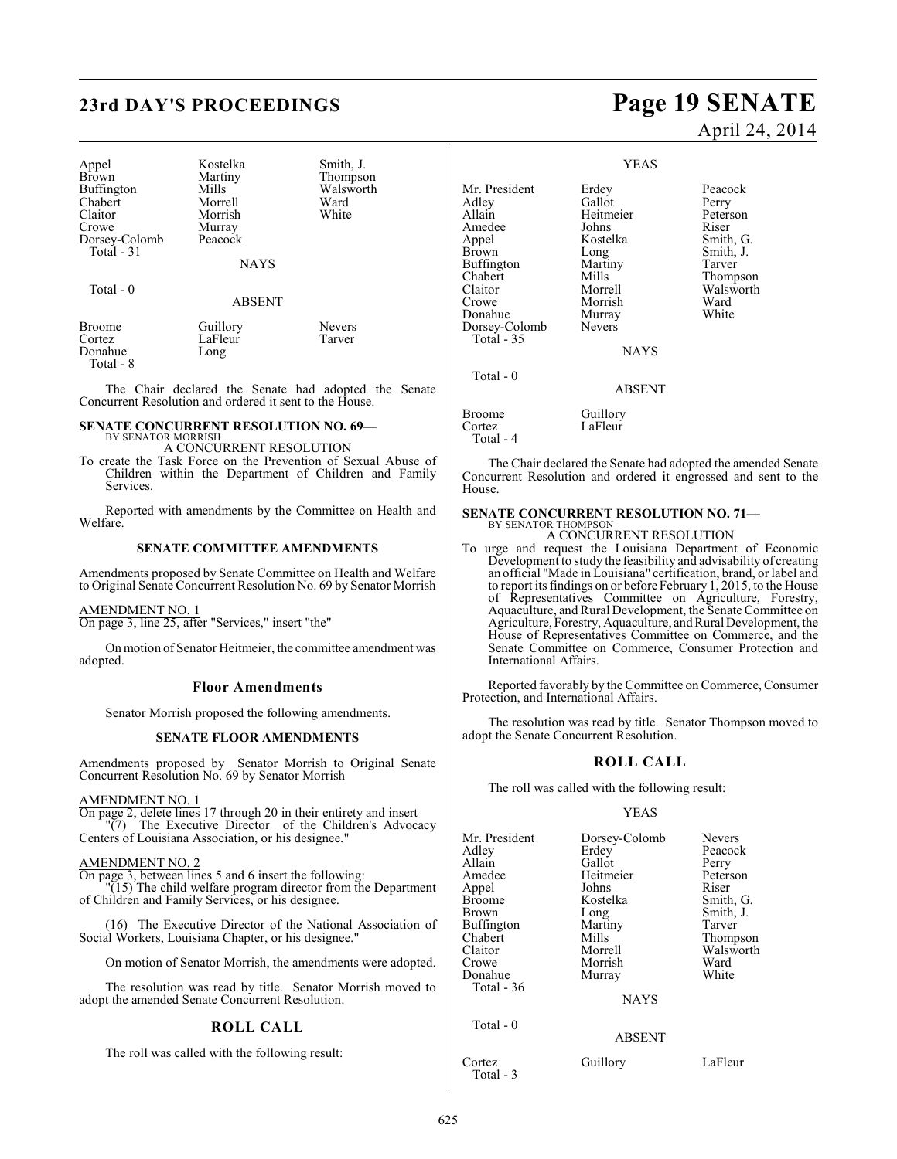## **23rd DAY'S PROCEEDINGS Page 19 SENATE**

Murray

| Appel         |
|---------------|
| <b>Brown</b>  |
|               |
| Buffington    |
| Chabert       |
| Claitor       |
| Crowe         |
| Dorsey-Colomb |
| Total - 31    |

Kostelka Smith, J.<br>Martiny Thompson Martiny Thompson<br>Mills Walsworth Morrell Ward<br>
Morrish White Morrish Peacock

Walsworth<br>Ward

**NAYS** 

#### Total - 0

ABSENT

| Broome    | Guillory | <b>Nevers</b> |  |
|-----------|----------|---------------|--|
| Cortez    | LaFleur  | Tarver        |  |
| Donahue   | Long     |               |  |
| Total - 8 |          |               |  |

The Chair declared the Senate had adopted the Senate Concurrent Resolution and ordered it sent to the House.

### **SENATE CONCURRENT RESOLUTION NO. 69—**

BY SENATOR MORRISH A CONCURRENT RESOLUTION

To create the Task Force on the Prevention of Sexual Abuse of Children within the Department of Children and Family Services.

Reported with amendments by the Committee on Health and Welfare.

#### **SENATE COMMITTEE AMENDMENTS**

Amendments proposed by Senate Committee on Health and Welfare to Original Senate Concurrent Resolution No. 69 by Senator Morrish

#### AMENDMENT NO. 1

On page 3, line 25, after "Services," insert "the"

On motion of Senator Heitmeier, the committee amendment was adopted.

#### **Floor Amendments**

Senator Morrish proposed the following amendments.

#### **SENATE FLOOR AMENDMENTS**

Amendments proposed by Senator Morrish to Original Senate Concurrent Resolution No. 69 by Senator Morrish

#### AMENDMENT NO. 1

On page 2, delete lines 17 through 20 in their entirety and insert "(7) The Executive Director of the Children's Advocacy Centers of Louisiana Association, or his designee."

#### AMENDMENT NO. 2

On page 3, between lines 5 and 6 insert the following:

"(15) The child welfare program director from the Department of Children and Family Services, or his designee.

(16) The Executive Director of the National Association of Social Workers, Louisiana Chapter, or his designee."

On motion of Senator Morrish, the amendments were adopted.

The resolution was read by title. Senator Morrish moved to adopt the amended Senate Concurrent Resolution.

#### **ROLL CALL**

The roll was called with the following result:

# April 24, 2014

#### YEAS

Adley Gallot<br>Allain Heitmeier Amedee Johns<br>Appel Kostelka Buffington Martin<br>Chabert Mills

Mr. President Erdey Peacock<br>Adley Gallot Perry Heitmeier Peterson<br>Johns Riser Appel Kostelka Smith, G. Long Smith, J.<br>Martiny Tarver Chabert Mills Thompson<br>Claitor Morrell Walsworth Claitor Morrell Walsworth<br>Crowe Morrish Ward Morrish Ward<br>
Murray White

LaFleur

## **NAYS**

ABSENT

Broome Guillory<br>Cortez LaFleur Total - 4

Donahue Murray<br>Dorsey-Colomb Nevers

Dorsey-Colomb Total - 35

Total - 0

The Chair declared the Senate had adopted the amended Senate Concurrent Resolution and ordered it engrossed and sent to the House.

#### **SENATE CONCURRENT RESOLUTION NO. 71—** BY SENATOR THOMPSON A CONCURRENT RESOLUTION

To urge and request the Louisiana Department of Economic Development to study the feasibility and advisability of creating an official "Made in Louisiana" certification, brand, or label and to report its findings on or before February 1, 2015, to the House of Representatives Committee on Agriculture, Forestry, Aquaculture, and Rural Development, the Senate Committee on Agriculture, Forestry, Aquaculture, and Rural Development, the House of Representatives Committee on Commerce, and the Senate Committee on Commerce, Consumer Protection and International Affairs.

Reported favorably by the Committee on Commerce, Consumer Protection, and International Affairs.

The resolution was read by title. Senator Thompson moved to adopt the Senate Concurrent Resolution.

#### **ROLL CALL**

The roll was called with the following result:

#### YEAS

|               | <b>Nevers</b>                            |
|---------------|------------------------------------------|
|               | Peacock                                  |
| Gallot        | Perry                                    |
| Heitmeier     | Peterson                                 |
| Johns         | Riser                                    |
| Kostelka      | Smith, G.                                |
|               | Smith, J.                                |
| Martiny       | Tarver                                   |
| Mills         | Thompson                                 |
| Morrell       | Walsworth                                |
| Morrish       | Ward                                     |
|               | White                                    |
|               |                                          |
| <b>NAYS</b>   |                                          |
|               |                                          |
| <b>ABSENT</b> |                                          |
| Guillory      | LaFleur                                  |
|               | Dorsey-Colomb<br>Erdey<br>Long<br>Murray |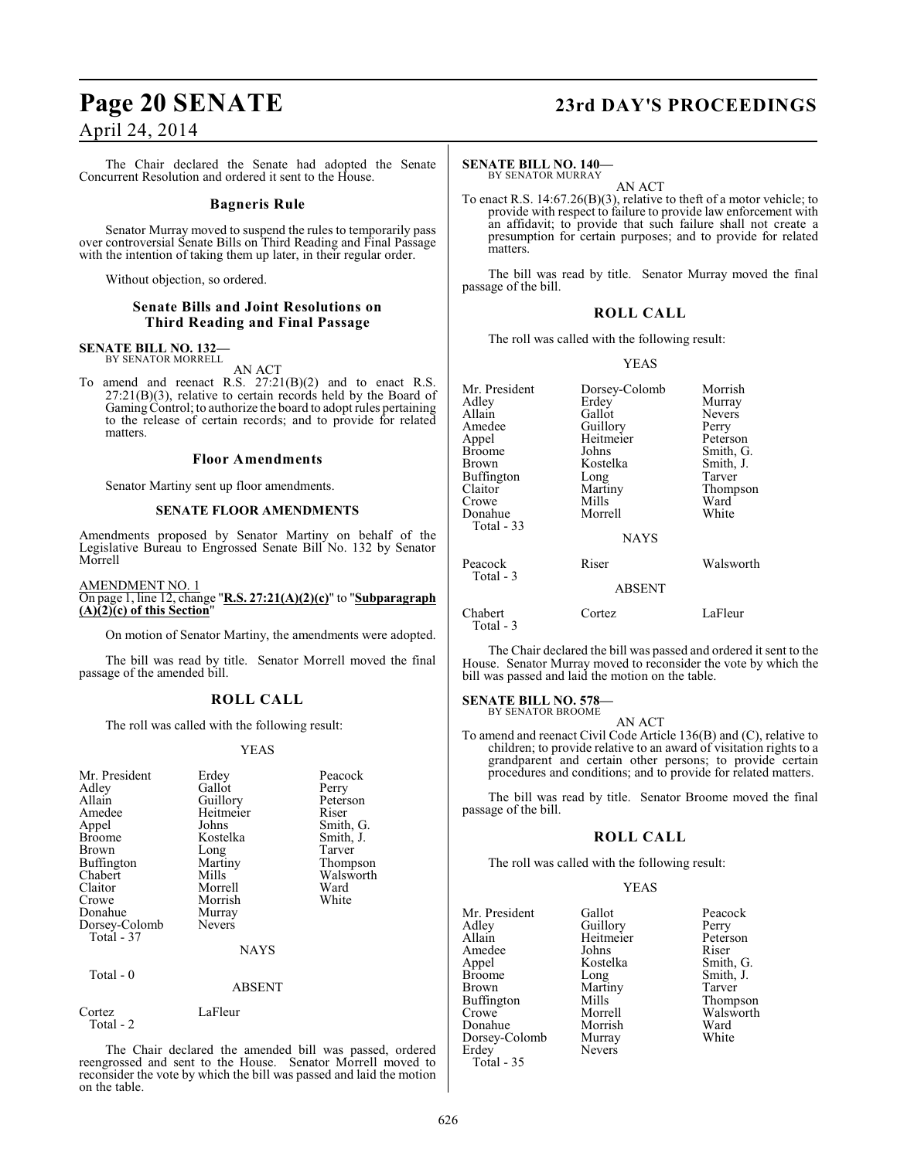The Chair declared the Senate had adopted the Senate Concurrent Resolution and ordered it sent to the House.

#### **Bagneris Rule**

Senator Murray moved to suspend the rules to temporarily pass over controversial Senate Bills on Third Reading and Final Passage with the intention of taking them up later, in their regular order.

Without objection, so ordered.

#### **Senate Bills and Joint Resolutions on Third Reading and Final Passage**

#### **SENATE BILL NO. 132—** BY SENATOR MORRELL

AN ACT

To amend and reenact R.S. 27:21(B)(2) and to enact R.S.  $27:21(B)(3)$ , relative to certain records held by the Board of Gaming Control; to authorize the board to adopt rules pertaining to the release of certain records; and to provide for related matters.

#### **Floor Amendments**

Senator Martiny sent up floor amendments.

#### **SENATE FLOOR AMENDMENTS**

Amendments proposed by Senator Martiny on behalf of the Legislative Bureau to Engrossed Senate Bill No. 132 by Senator Morrell

#### AMENDMENT NO. 1 On page 1, line 12, change "**R.S. 27:21(A)(2)(c)**" to "**Subparagraph (A)(2)(c) of this Section**"

On motion of Senator Martiny, the amendments were adopted.

The bill was read by title. Senator Morrell moved the final passage of the amended bill.

#### **ROLL CALL**

The roll was called with the following result:

#### YEAS

| Mr. President<br>Adley<br>Allain<br>Amedee<br>Appel<br><b>Broome</b><br><b>Brown</b><br><b>Buffington</b><br>Chabert<br>Claitor<br>Crowe | Erdey<br>Gallot<br>Guillory<br>Heitmeier<br>Johns<br>Kostelka<br>Long<br>Martiny<br>Mills<br>Morrell<br>Morrish | Peacock<br>Perry<br>Peterson<br>Riser<br>Smith, G.<br>Smith, J.<br>Tarver<br>Thompson<br>Walsworth<br>Ward<br>White |
|------------------------------------------------------------------------------------------------------------------------------------------|-----------------------------------------------------------------------------------------------------------------|---------------------------------------------------------------------------------------------------------------------|
| Donahue                                                                                                                                  |                                                                                                                 |                                                                                                                     |
| Dorsey-Colomb<br>Total - 37                                                                                                              | Murray<br><b>Nevers</b>                                                                                         |                                                                                                                     |
|                                                                                                                                          | <b>NAYS</b>                                                                                                     |                                                                                                                     |
| Total - 0                                                                                                                                |                                                                                                                 |                                                                                                                     |
|                                                                                                                                          | <b>ABSENT</b>                                                                                                   |                                                                                                                     |

| Cortez    | LaFleur |
|-----------|---------|
| Total - 2 |         |

The Chair declared the amended bill was passed, ordered reengrossed and sent to the House. Senator Morrell moved to reconsider the vote by which the bill was passed and laid the motion on the table.

## **Page 20 SENATE 23rd DAY'S PROCEEDINGS**

#### **SENATE BILL NO. 140—**

BY SENATOR MURRAY AN ACT

To enact R.S. 14:67.26(B)(3), relative to theft of a motor vehicle; to provide with respect to failure to provide law enforcement with an affidavit; to provide that such failure shall not create a presumption for certain purposes; and to provide for related matters.

The bill was read by title. Senator Murray moved the final passage of the bill.

### **ROLL CALL**

The roll was called with the following result:

#### YEAS

| Mr. President<br>Adley<br>Allain<br>Amedee<br>Appel<br>Broome<br>Brown<br>Buffington<br>Claitor<br>Crowe<br>Donahue<br>Total - 33 | Dorsey-Colomb<br>Erdey<br>Gallot<br>Guillory<br>Heitmeier<br>Johns<br>Kostelka<br>Long<br>Martiny<br>Mills<br>Morrell | Morrish<br>Murray<br><b>Nevers</b><br>Perry<br>Peterson<br>Smith, G.<br>Smith, J.<br>Tarver<br>Thompson<br>Ward<br>White |
|-----------------------------------------------------------------------------------------------------------------------------------|-----------------------------------------------------------------------------------------------------------------------|--------------------------------------------------------------------------------------------------------------------------|
|                                                                                                                                   | <b>NAYS</b>                                                                                                           |                                                                                                                          |
| Peacock<br>Total - 3                                                                                                              | Riser                                                                                                                 | Walsworth                                                                                                                |
|                                                                                                                                   | <b>ABSENT</b>                                                                                                         |                                                                                                                          |
| Chabert<br>Total - 3                                                                                                              | Cortez                                                                                                                | LaFleur                                                                                                                  |

The Chair declared the bill was passed and ordered it sent to the House. Senator Murray moved to reconsider the vote by which the bill was passed and laid the motion on the table.

#### **SENATE BILL NO. 578—**

BY SENATOR BROOME AN ACT

To amend and reenact Civil Code Article 136(B) and (C), relative to children; to provide relative to an award of visitation rights to a grandparent and certain other persons; to provide certain procedures and conditions; and to provide for related matters.

The bill was read by title. Senator Broome moved the final passage of the bill.

#### **ROLL CALL**

The roll was called with the following result:

#### YEAS

| Mr. President     | Gallot        | Peacc  |
|-------------------|---------------|--------|
| Adley             | Guillory      | Perry  |
| Allain            | Heitmeier     | Peters |
| Amedee            | Johns         | Riser  |
| Appel             | Kostelka      | Smith  |
| <b>Broome</b>     | Long          | Smith  |
| Brown             | Martiny       | Tarve  |
| <b>Buffington</b> | Mills         | Thom   |
| Crowe             | Morrell       | Walsy  |
| Donahue           | Morrish       | Ward   |
| Dorsey-Colomb     | Murray        | White  |
| Erdey             | <b>Nevers</b> |        |
| Total - 35        |               |        |

Mr. President Gallot Peacock Feitmeier Peterson<br>
Peterson<br>
Riser Lostelka Smith, G. ong Smith, J.<br>Tarver ills Thompson<br>Iorrell Walsworth Walsworth<br>Ward Iurray White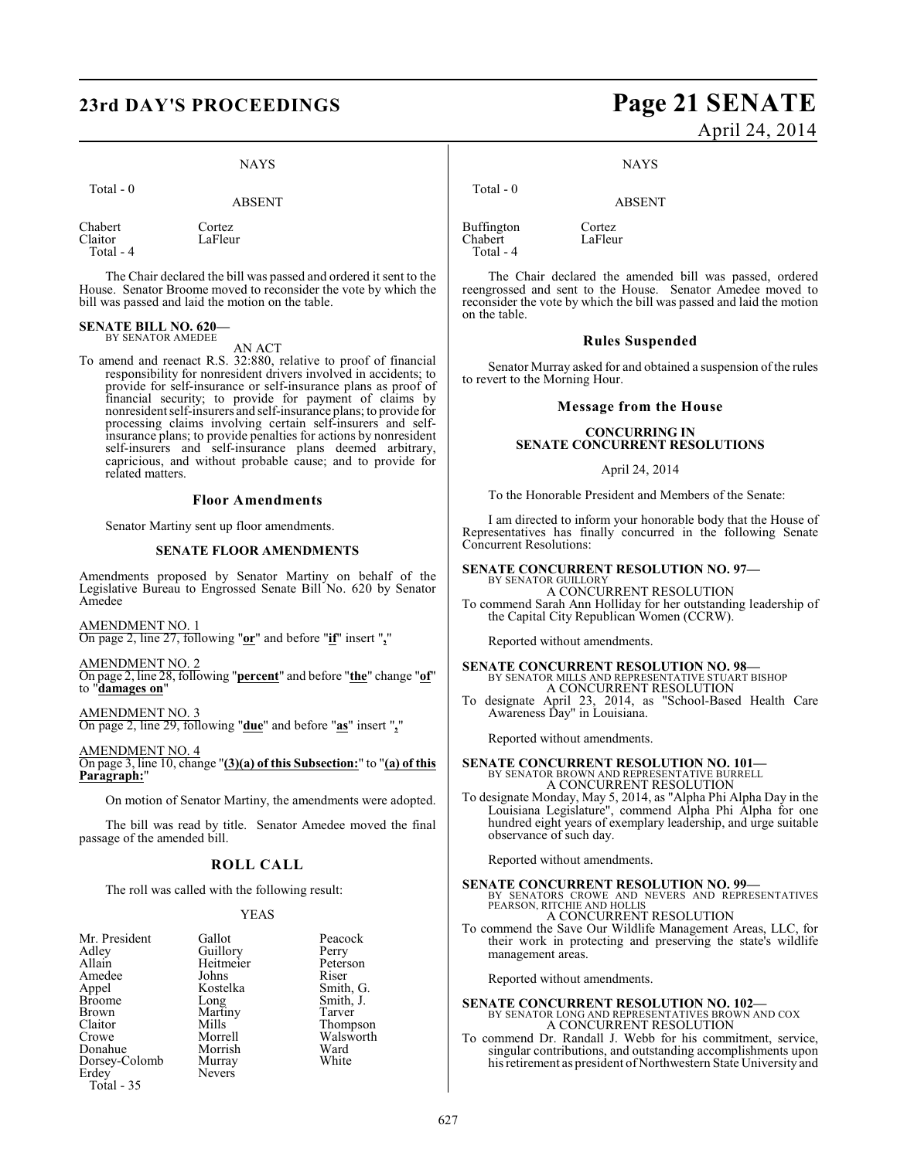## **23rd DAY'S PROCEEDINGS Page 21 SENATE**

### **NAYS**

Total - 0

ABSENT

Chabert Cortez<br>Claitor LaFleu LaFleur Total - 4

The Chair declared the bill was passed and ordered it sent to the House. Senator Broome moved to reconsider the vote by which the bill was passed and laid the motion on the table.

## **SENATE BILL NO. 620—** BY SENATOR AMEDEE

AN ACT

To amend and reenact R.S. 32:880, relative to proof of financial responsibility for nonresident drivers involved in accidents; to provide for self-insurance or self-insurance plans as proof of financial security; to provide for payment of claims by nonresident self-insurers and self-insurance plans; to provide for processing claims involving certain self-insurers and selfinsurance plans; to provide penalties for actions by nonresident self-insurers and self-insurance plans deemed arbitrary, capricious, and without probable cause; and to provide for related matters.

#### **Floor Amendments**

Senator Martiny sent up floor amendments.

#### **SENATE FLOOR AMENDMENTS**

Amendments proposed by Senator Martiny on behalf of the Legislative Bureau to Engrossed Senate Bill No. 620 by Senator Amedee

AMENDMENT NO. 1 On page 2, line 27, following "**or**" and before "**if**" insert "**,**"

AMENDMENT NO. 2 On page 2, line 28, following "**percent**" and before "**the**" change "**of**" to "**damages on**"

AMENDMENT NO. 3 On page 2, line 29, following "**due**" and before "**as**" insert "**,**"

AMENDMENT NO. 4 On page 3, line 10, change "**(3)(a) of this Subsection:**" to "**(a) of this Paragraph:**"

On motion of Senator Martiny, the amendments were adopted.

The bill was read by title. Senator Amedee moved the final passage of the amended bill.

#### **ROLL CALL**

The roll was called with the following result:

#### YEAS

| Mr. President | Gallot    | Peacc  |
|---------------|-----------|--------|
| Adlev         | Guillory  | Perry  |
| Allain        | Heitmeier | Peters |
| Amedee        | Johns     | Riser  |
| Appel         | Kostelka  | Smith  |
| <b>Broome</b> | Long      | Smith  |
| Brown         | Martiny   | Tarve  |
| Claitor       | Mills     | Thom   |
| Crowe         | Morrell   | Walsy  |
| Donahue       | Morrish   | Ward   |
| Dorsey-Colomb | Murray    | White  |
| Erdey         | Nevers    |        |
| Total - 35    |           |        |

Peacock ier Peterson<br>Riser a Smith, G. Smith, J. Tarver Thompson Walsworth<br>Ward White

# April 24, 2014

NAYS

ABSENT

Buffington Cortez<br>Chabert LaFleur Chabert Total - 4

Total - 0

The Chair declared the amended bill was passed, ordered reengrossed and sent to the House. Senator Amedee moved to reconsider the vote by which the bill was passed and laid the motion on the table.

#### **Rules Suspended**

Senator Murray asked for and obtained a suspension of the rules to revert to the Morning Hour.

#### **Message from the House**

#### **CONCURRING IN SENATE CONCURRENT RESOLUTIONS**

#### April 24, 2014

To the Honorable President and Members of the Senate:

I am directed to inform your honorable body that the House of Representatives has finally concurred in the following Senate Concurrent Resolutions:

#### **SENATE CONCURRENT RESOLUTION NO. 97—**

BY SENATOR GUILLORY A CONCURRENT RESOLUTION

To commend Sarah Ann Holliday for her outstanding leadership of the Capital City Republican Women (CCRW).

Reported without amendments.

### **SENATE CONCURRENT RESOLUTION NO. 98—** BY SENATOR MILLS AND REPRESENTATIVE STUART BISHOP A CONCURRENT RESOLUTION

To designate April 23, 2014, as "School-Based Health Care Awareness Day" in Louisiana.

Reported without amendments.

### **SENATE CONCURRENT RESOLUTION NO. 101—** BY SENATOR BROWN AND REPRESENTATIVE BURRELL A CONCURRENT RESOLUTION

To designate Monday, May 5, 2014, as "Alpha Phi Alpha Day in the Louisiana Legislature", commend Alpha Phi Alpha for one hundred eight years of exemplary leadership, and urge suitable observance of such day.

Reported without amendments.

**SENATE CONCURRENT RESOLUTION NO. 99**<br>BY SENATORS CROWE AND NEVERS AND REPRESENTATIVES<br>PEARSON, RITCHIE AND HOLLIS<br>A CONCURRENT RESOLUTION<br>A CONCURRENT RESOLUTION

To commend the Save Our Wildlife Management Areas, LLC, for their work in protecting and preserving the state's wildlife management areas.

Reported without amendments.

## **SENATE CONCURRENT RESOLUTION NO. 102—** BY SENATOR LONG AND REPRESENTATIVES BROWN AND COX A CONCURRENT RESOLUTION

To commend Dr. Randall J. Webb for his commitment, service, singular contributions, and outstanding accomplishments upon hisretirement as president of Northwestern State University and